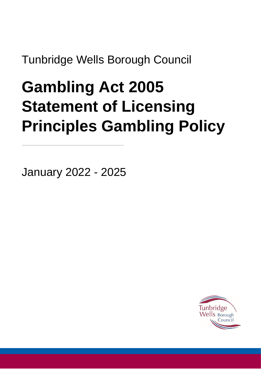Tunbridge Wells Borough Council

# **Gambling Act 2005 Statement of Licensing Principles Gambling Policy**

January 2022 - 2025

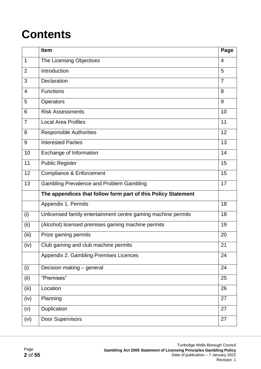# **Contents**

|                | Item                                                          | Page           |
|----------------|---------------------------------------------------------------|----------------|
| $\mathbf 1$    | The Licensing Objectives                                      | $\overline{4}$ |
| $\overline{2}$ | Introduction                                                  | 5              |
| 3              | Declaration                                                   | $\overline{7}$ |
| 4              | <b>Functions</b>                                              | 8              |
| 5              | <b>Operators</b>                                              | 9              |
| 6              | <b>Risk Assessments</b>                                       | 10             |
| 7              | <b>Local Area Profiles</b>                                    | 11             |
| 8              | <b>Responsible Authorities</b>                                | 12             |
| 9              | <b>Interested Parties</b>                                     | 13             |
| 10             | Exchange of Information                                       | 14             |
| 11             | <b>Public Register</b>                                        | 15             |
| 12             | <b>Compliance &amp; Enforcement</b>                           | 15             |
| 13             | <b>Gambling Prevalence and Problem Gambling</b>               | 17             |
|                | The appendices that follow form part of this Policy Statement |                |
|                | Appendix 1. Permits                                           | 18             |
| (i)            | Unlicensed family entertainment centre gaming machine permits | 18             |
| (ii)           | (Alcohol) licensed premises gaming machine permits            | 19             |
| (iii)          | Prize gaming permits                                          | 20             |
| (iv)           | Club gaming and club machine permits                          | 21             |
|                | Appendix 2. Gambling Premises Licences                        | 24             |
| (i)            | Decision making - general                                     | 24             |
| (ii)           | "Premises"                                                    | 25             |
| (iii)          | Location                                                      | 26             |
| (iv)           | Planning                                                      | 27             |
| (v)            | Duplication                                                   | 27             |
| (vi)           | Door Supervisors                                              | 27             |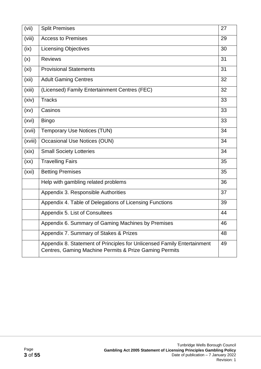| (vii)             | <b>Split Premises</b>                                                                                                             | 27 |
|-------------------|-----------------------------------------------------------------------------------------------------------------------------------|----|
| (viii)            | <b>Access to Premises</b>                                                                                                         | 29 |
| (ix)              | <b>Licensing Objectives</b>                                                                                                       | 30 |
| (x)               | <b>Reviews</b>                                                                                                                    | 31 |
| (x <sub>i</sub> ) | <b>Provisional Statements</b>                                                                                                     | 31 |
| (xii)             | <b>Adult Gaming Centres</b>                                                                                                       | 32 |
| (xiii)            | (Licensed) Family Entertainment Centres (FEC)                                                                                     | 32 |
| (xiv)             | <b>Tracks</b>                                                                                                                     | 33 |
| (xv)              | Casinos                                                                                                                           | 33 |
| (xvi)             | <b>Bingo</b>                                                                                                                      | 33 |
| (xvii)            | <b>Temporary Use Notices (TUN)</b>                                                                                                | 34 |
| (xviii)           | <b>Occasional Use Notices (OUN)</b>                                                                                               | 34 |
| (xix)             | <b>Small Society Lotteries</b>                                                                                                    | 34 |
| (xx)              | <b>Travelling Fairs</b>                                                                                                           | 35 |
| (xxi)             | <b>Betting Premises</b>                                                                                                           | 35 |
|                   | Help with gambling related problems                                                                                               | 36 |
|                   | Appendix 3. Responsible Authorities                                                                                               | 37 |
|                   | Appendix 4. Table of Delegations of Licensing Functions                                                                           | 39 |
|                   | Appendix 5. List of Consultees                                                                                                    | 44 |
|                   | Appendix 6. Summary of Gaming Machines by Premises                                                                                | 46 |
|                   | Appendix 7. Summary of Stakes & Prizes                                                                                            | 48 |
|                   | Appendix 8. Statement of Principles for Unlicensed Family Entertainment<br>Centres, Gaming Machine Permits & Prize Gaming Permits | 49 |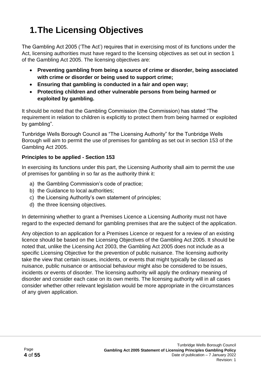# **1.The Licensing Objectives**

The Gambling Act 2005 ('The Act') requires that in exercising most of its functions under the Act, licensing authorities must have regard to the licensing objectives as set out in section 1 of the Gambling Act 2005. The licensing objectives are:

- **Preventing gambling from being a source of crime or disorder, being associated with crime or disorder or being used to support crime;**
- **Ensuring that gambling is conducted in a fair and open way;**
- **Protecting children and other vulnerable persons from being harmed or exploited by gambling.**

It should be noted that the Gambling Commission (the Commission) has stated "The requirement in relation to children is explicitly to protect them from being harmed or exploited by gambling".

Tunbridge Wells Borough Council as "The Licensing Authority" for the Tunbridge Wells Borough will aim to permit the use of premises for gambling as set out in section 153 of the Gambling Act 2005.

#### **Principles to be applied - Section 153**

In exercising its functions under this part, the Licensing Authority shall aim to permit the use of premises for gambling in so far as the authority think it:

- a) the Gambling Commission's code of practice;
- b) the Guidance to local authorities;
- c) the Licensing Authority's own statement of principles;
- d) the three licensing objectives.

In determining whether to grant a Premises Licence a Licensing Authority must not have regard to the expected demand for gambling premises that are the subject of the application.

Any objection to an application for a Premises Licence or request for a review of an existing licence should be based on the Licensing Objectives of the Gambling Act 2005. It should be noted that, unlike the Licensing Act 2003, the Gambling Act 2005 does not include as a specific Licensing Objective for the prevention of public nuisance. The licensing authority take the view that certain issues, incidents, or events that might typically be classed as nuisance, public nuisance or antisocial behaviour might also be considered to be issues, incidents or events of disorder. The licensing authority will apply the ordinary meaning of disorder and consider each case on its own merits. The licensing authority will in all cases consider whether other relevant legislation would be more appropriate in the circumstances of any given application.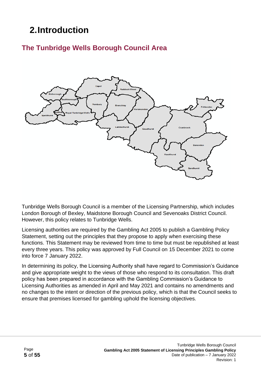# **2.Introduction**

## **The Tunbridge Wells Borough Council Area**



Tunbridge Wells Borough Council is a member of the Licensing Partnership, which includes London Borough of Bexley, Maidstone Borough Council and Sevenoaks District Council. However, this policy relates to Tunbridge Wells.

Licensing authorities are required by the Gambling Act 2005 to publish a Gambling Policy Statement, setting out the principles that they propose to apply when exercising these functions. This Statement may be reviewed from time to time but must be republished at least every three years. This policy was approved by Full Council on 15 December 2021 to come into force 7 January 2022.

In determining its policy, the Licensing Authority shall have regard to Commission's Guidance and give appropriate weight to the views of those who respond to its consultation. This draft policy has been prepared in accordance with the Gambling Commission's Guidance to Licensing Authorities as amended in April and May 2021 and contains no amendments and no changes to the intent or direction of the previous policy, which is that the Council seeks to ensure that premises licensed for gambling uphold the licensing objectives.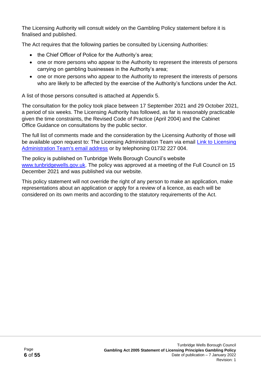The Licensing Authority will consult widely on the Gambling Policy statement before it is finalised and published.

The Act requires that the following parties be consulted by Licensing Authorities:

- the Chief Officer of Police for the Authority's area;
- one or more persons who appear to the Authority to represent the interests of persons carrying on gambling businesses in the Authority's area;
- one or more persons who appear to the Authority to represent the interests of persons who are likely to be affected by the exercise of the Authority's functions under the Act.

A list of those persons consulted is attached at Appendix 5.

The consultation for the policy took place between 17 September 2021 and 29 October 2021, a period of six weeks. The Licensing Authority has followed, as far is reasonably practicable given the time constraints, the Revised Code of Practice (April 2004) and the Cabinet Office Guidance on consultations by the public sector.

The full list of comments made and the consideration by the Licensing Authority of those will be available upon request to: The Licensing Administration Team via email Link to Licensing [Administration Team's email address](mailto:licensing@sevenoaks.gov.uk) or by telephoning 01732 227 004.

The policy is published on Tunbridge Wells Borough Council's website [www.tunbridgewells.gov.uk.](http://www.tunbridgewells.gov.uk/) The policy was approved at a meeting of the Full Council on 15 December 2021 and was published via our website.

This policy statement will not override the right of any person to make an application, make representations about an application or apply for a review of a licence, as each will be considered on its own merits and according to the statutory requirements of the Act.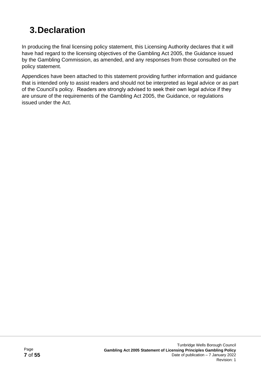# **3.Declaration**

In producing the final licensing policy statement, this Licensing Authority declares that it will have had regard to the licensing objectives of the Gambling Act 2005, the Guidance issued by the Gambling Commission, as amended, and any responses from those consulted on the policy statement.

Appendices have been attached to this statement providing further information and guidance that is intended only to assist readers and should not be interpreted as legal advice or as part of the Council's policy. Readers are strongly advised to seek their own legal advice if they are unsure of the requirements of the Gambling Act 2005, the Guidance, or regulations issued under the Act.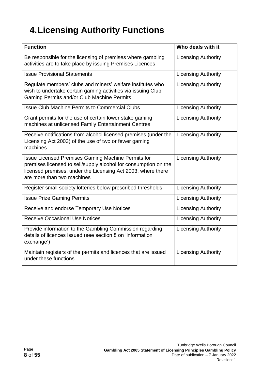# **4.Licensing Authority Functions**

| <b>Function</b>                                                                                                                                                                                                     | Who deals with it          |
|---------------------------------------------------------------------------------------------------------------------------------------------------------------------------------------------------------------------|----------------------------|
| Be responsible for the licensing of premises where gambling<br>activities are to take place by issuing Premises Licences                                                                                            | <b>Licensing Authority</b> |
| <b>Issue Provisional Statements</b>                                                                                                                                                                                 | <b>Licensing Authority</b> |
| Regulate members' clubs and miners' welfare institutes who<br>wish to undertake certain gaming activities via issuing Club<br>Gaming Permits and/or Club Machine Permits                                            | <b>Licensing Authority</b> |
| <b>Issue Club Machine Permits to Commercial Clubs</b>                                                                                                                                                               | <b>Licensing Authority</b> |
| Grant permits for the use of certain lower stake gaming<br>machines at unlicensed Family Entertainment Centres                                                                                                      | <b>Licensing Authority</b> |
| Receive notifications from alcohol licensed premises (under the<br>Licensing Act 2003) of the use of two or fewer gaming<br>machines                                                                                | <b>Licensing Authority</b> |
| Issue Licensed Premises Gaming Machine Permits for<br>premises licensed to sell/supply alcohol for consumption on the<br>licensed premises, under the Licensing Act 2003, where there<br>are more than two machines | <b>Licensing Authority</b> |
| Register small society lotteries below prescribed thresholds                                                                                                                                                        | <b>Licensing Authority</b> |
| <b>Issue Prize Gaming Permits</b>                                                                                                                                                                                   | <b>Licensing Authority</b> |
| Receive and endorse Temporary Use Notices                                                                                                                                                                           | <b>Licensing Authority</b> |
| <b>Receive Occasional Use Notices</b>                                                                                                                                                                               | <b>Licensing Authority</b> |
| Provide information to the Gambling Commission regarding<br>details of licences issued (see section 8 on 'information<br>exchange')                                                                                 | <b>Licensing Authority</b> |
| Maintain registers of the permits and licences that are issued<br>under these functions                                                                                                                             | <b>Licensing Authority</b> |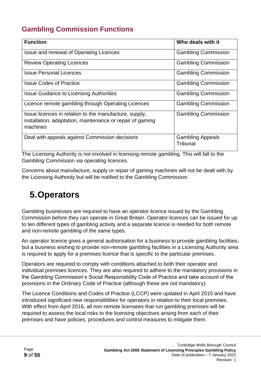# **Gambling Commission Functions**

| <b>Function</b>                                                                                                                 | Who deals with it                   |
|---------------------------------------------------------------------------------------------------------------------------------|-------------------------------------|
|                                                                                                                                 |                                     |
| Issue and renewal of Operating Licences                                                                                         | <b>Gambling Commission</b>          |
| <b>Review Operating Licences</b>                                                                                                | <b>Gambling Commission</b>          |
| <b>Issue Personal Licences</b>                                                                                                  | <b>Gambling Commission</b>          |
| <b>Issue Codes of Practice</b>                                                                                                  | <b>Gambling Commission</b>          |
| <b>Issue Guidance to Licensing Authorities</b>                                                                                  | <b>Gambling Commission</b>          |
| Licence remote gambling through Operating Licences                                                                              | <b>Gambling Commission</b>          |
| Issue licences in relation to the manufacture, supply,<br>installation, adaptation, maintenance or repair of gaming<br>machines | <b>Gambling Commission</b>          |
| Deal with appeals against Commission decisions                                                                                  | <b>Gambling Appeals</b><br>Tribunal |

The Licensing Authority is not involved in licensing remote gambling. This will fall to the Gambling Commission via operating licences.

Concerns about manufacture, supply or repair of gaming machines will not be dealt with by the Licensing Authority but will be notified to the Gambling Commission.

# **5.Operators**

Gambling businesses are required to have an operator licence issued by the Gambling Commission before they can operate in Great Britain. Operator licences can be issued for up to ten different types of gambling activity and a separate licence is needed for both remote and non-remote gambling of the same types.

An operator licence gives a general authorisation for a business to provide gambling facilities, but a business wishing to provide non-remote gambling facilities in a Licensing Authority area is required to apply for a premises licence that is specific to the particular premises.

Operators are required to comply with conditions attached to both their operator and individual premises licences. They are also required to adhere to the mandatory provisions in the Gambling Commission's Social Responsibility Code of Practice and take account of the provisions in the Ordinary Code of Practice (although these are not mandatory).

The Licence Conditions and Codes of Practice (LCCP) were updated in April 2015 and have introduced significant new responsibilities for operators in relation to their local premises. With effect from April 2016, all non-remote licensees that run gambling premises will be required to assess the local risks to the licensing objectives arising from each of their premises and have policies, procedures and control measures to mitigate them.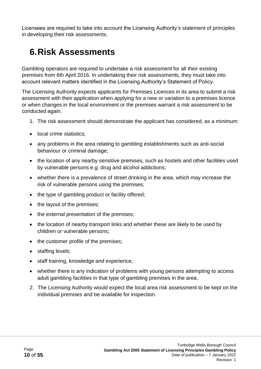Licensees are required to take into account the Licensing Authority's statement of principles in developing their risk assessments.

# **6.Risk Assessments**

Gambling operators are required to undertake a risk assessment for all their existing premises from 6th April 2016. In undertaking their risk assessments, they must take into account relevant matters identified in the Licensing Authority's Statement of Policy.

The Licensing Authority expects applicants for Premises Licences in its area to submit a risk assessment with their application when applying for a new or variation to a premises licence or when changes in the local environment or the premises warrant a risk assessment to be conducted again.

- 1. The risk assessment should demonstrate the applicant has considered, as a minimum:
- local crime statistics:
- any problems in the area relating to gambling establishments such as anti-social behaviour or criminal damage;
- the location of any nearby sensitive premises, such as hostels and other facilities used by vulnerable persons e.g. drug and alcohol addictions;
- whether there is a prevalence of street drinking in the area, which may increase the risk of vulnerable persons using the premises;
- the type of gambling product or facility offered:
- the layout of the premises;
- the external presentation of the premises;
- the location of nearby transport links and whether these are likely to be used by children or vulnerable persons;
- the customer profile of the premises;
- staffing levels;
- staff training, knowledge and experience;
- whether there is any indication of problems with young persons attempting to access adult gambling facilities in that type of gambling premises in the area.
- 2. The Licensing Authority would expect the local area risk assessment to be kept on the individual premises and be available for inspection.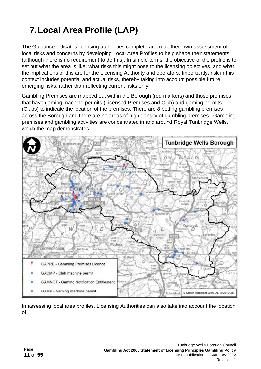# **7.Local Area Profile (LAP)**

The Guidance indicates licensing authorities complete and map their own assessment of local risks and concerns by developing Local Area Profiles to help shape their statements (although there is no requirement to do this). In simple terms, the objective of the profile is to set out what the area is like, what risks this might pose to the licensing objectives, and what the implications of this are for the Licensing Authority and operators. Importantly, risk in this context includes potential and actual risks, thereby taking into account possible future emerging risks, rather than reflecting current risks only.

Gambling Premises are mapped out within the Borough (red markers) and those premises that have gaming machine permits (Licensed Premises and Club) and gaming permits (Clubs) to indicate the location of the premises. There are 8 betting gambling premises across the Borough and there are no areas of high density of gambling premises. Gambling premises and gambling activities are concentrated in and around Royal Tunbridge Wells, which the map demonstrates.



In assessing local area profiles, Licensing Authorities can also take into account the location of: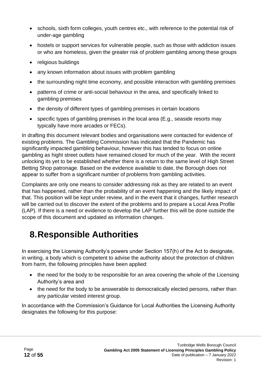- schools, sixth form colleges, youth centres etc., with reference to the potential risk of under-age gambling
- hostels or support services for vulnerable people, such as those with addiction issues or who are homeless, given the greater risk of problem gambling among these groups
- religious buildings
- any known information about issues with problem gambling
- the surrounding night time economy, and possible interaction with gambling premises
- patterns of crime or anti-social behaviour in the area, and specifically linked to gambling premises
- the density of different types of gambling premises in certain locations
- specific types of gambling premises in the local area (E.g., seaside resorts may typically have more arcades or FECs).

In drafting this document relevant bodies and organisations were contacted for evidence of existing problems. The Gambling Commission has indicated that the Pandemic has significantly impacted gambling behaviour, however this has tended to focus on online gambling as hight street outlets have remained closed for much of the year. With the recent unlocking its yet to be established whether there is a return to the same level of High Street Betting Shop patronage. Based on the evidence available to date, the Borough does not appear to suffer from a significant number of problems from gambling activities.

Complaints are only one means to consider addressing risk as they are related to an event that has happened, rather than the probability of an event happening and the likely impact of that. This position will be kept under review, and in the event that it changes, further research will be carried out to discover the extent of the problems and to prepare a Local Area Profile (LAP). If there is a need or evidence to develop the LAP further this will be done outside the scope of this document and updated as information changes.

# **8.Responsible Authorities**

In exercising the Licensing Authority's powers under Section 157(h) of the Act to designate, in writing, a body which is competent to advise the authority about the protection of children from harm, the following principles have been applied:

- the need for the body to be responsible for an area covering the whole of the Licensing Authority's area and
- the need for the body to be answerable to democratically elected persons, rather than any particular vested interest group.

In accordance with the Commission's Guidance for Local Authorities the Licensing Authority designates the following for this purpose: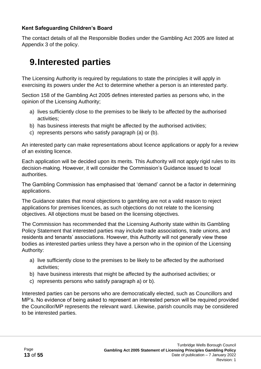#### **Kent Safeguarding Children's Board**

The contact details of all the Responsible Bodies under the Gambling Act 2005 are listed at Appendix 3 of the policy.

# **9.Interested parties**

The Licensing Authority is required by regulations to state the principles it will apply in exercising its powers under the Act to determine whether a person is an interested party.

Section 158 of the Gambling Act 2005 defines interested parties as persons who, in the opinion of the Licensing Authority;

- a) lives sufficiently close to the premises to be likely to be affected by the authorised activities;
- b) has business interests that might be affected by the authorised activities;
- c) represents persons who satisfy paragraph (a) or (b).

An interested party can make representations about licence applications or apply for a review of an existing licence.

Each application will be decided upon its merits. This Authority will not apply rigid rules to its decision-making. However, it will consider the Commission's Guidance issued to local authorities.

The Gambling Commission has emphasised that 'demand' cannot be a factor in determining applications.

The Guidance states that moral objections to gambling are not a valid reason to reject applications for premises licences, as such objections do not relate to the licensing objectives. All objections must be based on the licensing objectives.

The Commission has recommended that the Licensing Authority state within its Gambling Policy Statement that interested parties may include trade associations, trade unions, and residents and tenants' associations. However, this Authority will not generally view these bodies as interested parties unless they have a person who in the opinion of the Licensing Authority:

- a) live sufficiently close to the premises to be likely to be affected by the authorised activities;
- b) have business interests that might be affected by the authorised activities; or
- c) represents persons who satisfy paragraph a) or b).

Interested parties can be persons who are democratically elected, such as Councillors and MP's. No evidence of being asked to represent an interested person will be required provided the Councillor/MP represents the relevant ward. Likewise, parish councils may be considered to be interested parties.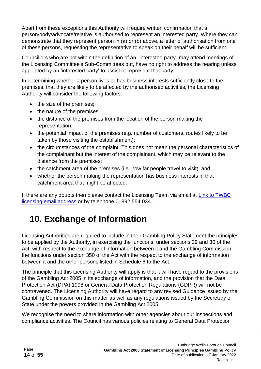Apart from these exceptions this Authority will require written confirmation that a person/body/advocate/relative is authorised to represent an interested party. Where they can demonstrate that they represent person in (a) or (b) above, a letter of authorisation from one of these persons, requesting the representative to speak on their behalf will be sufficient.

Councillors who are not within the definition of an "interested party" may attend meetings of the Licensing Committee's Sub-Committees but, have no right to address the hearing unless appointed by an 'interested party' to assist or represent that party.

In determining whether a person lives or has business interests sufficiently close to the premises, that they are likely to be affected by the authorised activities, the Licensing Authority will consider the following factors:

- the size of the premises;
- the nature of the premises;
- the distance of the premises from the location of the person making the representation;
- the potential impact of the premises (e.g. number of customers, routes likely to be taken by those visiting the establishment);
- the circumstances of the complaint. This does not mean the personal characteristics of the complainant but the interest of the complainant, which may be relevant to the distance from the premises;
- the catchment area of the premises (i.e. how far people travel to visit); and
- whether the person making the representation has business interests in that catchment area that might be affected.

If there are any doubts then please contact the Licensing Team via email at Link to TWBC [licensing email address](mailto:licensing@tunbridgewells.gov.uk) or by telephone 01892 554 034.

# **10. Exchange of Information**

Licensing Authorities are required to include in their Gambling Policy Statement the principles to be applied by the Authority, in exercising the functions, under sections 29 and 30 of the Act, with respect to the exchange of information between it and the Gambling Commission, the functions under section 350 of the Act with the respect to the exchange of information between it and the other persons listed in Schedule 6 to the Act.

The principle that this Licensing Authority will apply is that it will have regard to the provisions of the Gambling Act 2005 in its exchange of information, and the provision that the Data Protection Act (DPA) 1998 or General Data Protection Regulations (GDPR) will not be contravened. The Licensing Authority will have regard to any revised Guidance issued by the Gambling Commission on this matter as well as any regulations issued by the Secretary of State under the powers provided in the Gambling Act 2005.

We recognise the need to share information with other agencies about our inspections and compliance activities. The Council has various policies relating to General Data Protection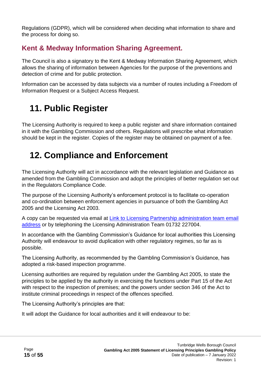Regulations (GDPR), which will be considered when deciding what information to share and the process for doing so.

# **Kent & Medway Information Sharing Agreement.**

The Council is also a signatory to the Kent & Medway Information Sharing Agreement, which allows the sharing of information between Agencies for the purpose of the preventions and detection of crime and for public protection.

Information can be accessed by data subjects via a number of routes including a Freedom of Information Request or a Subject Access Request.

# **11. Public Register**

The Licensing Authority is required to keep a public register and share information contained in it with the Gambling Commission and others. Regulations will prescribe what information should be kept in the register. Copies of the register may be obtained on payment of a fee.

# **12. Compliance and Enforcement**

The Licensing Authority will act in accordance with the relevant legislation and Guidance as amended from the Gambling Commission and adopt the principles of better regulation set out in the Regulators Compliance Code.

The purpose of the Licensing Authority's enforcement protocol is to facilitate co-operation and co-ordination between enforcement agencies in pursuance of both the Gambling Act 2005 and the Licensing Act 2003.

A copy can be requested via email at [Link to Licensing Partnership administration team email](mailto:licensing@sevenoaks.gov.uk)  [address](mailto:licensing@sevenoaks.gov.uk) or by telephoning the Licensing Administration Team 01732 227004.

In accordance with the Gambling Commission's Guidance for local authorities this Licensing Authority will endeavour to avoid duplication with other regulatory regimes, so far as is possible.

The Licensing Authority, as recommended by the Gambling Commission's Guidance, has adopted a risk-based inspection programme.

Licensing authorities are required by regulation under the Gambling Act 2005, to state the principles to be applied by the authority in exercising the functions under Part 15 of the Act with respect to the inspection of premises; and the powers under section 346 of the Act to institute criminal proceedings in respect of the offences specified.

The Licensing Authority's principles are that:

It will adopt the Guidance for local authorities and it will endeavour to be: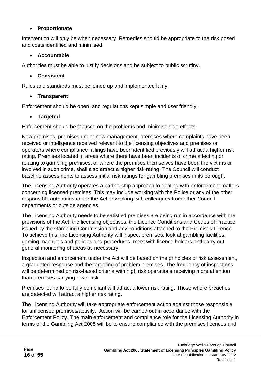#### • **Proportionate**

Intervention will only be when necessary. Remedies should be appropriate to the risk posed and costs identified and minimised.

#### • **Accountable**

Authorities must be able to justify decisions and be subject to public scrutiny.

#### • **Consistent**

Rules and standards must be joined up and implemented fairly.

#### • **Transparent**

Enforcement should be open, and regulations kept simple and user friendly.

#### • **Targeted**

Enforcement should be focused on the problems and minimise side effects.

New premises, premises under new management, premises where complaints have been received or intelligence received relevant to the licensing objectives and premises or operators where compliance failings have been identified previously will attract a higher risk rating. Premises located in areas where there have been incidents of crime affecting or relating to gambling premises, or where the premises themselves have been the victims or involved in such crime, shall also attract a higher risk rating. The Council will conduct baseline assessments to assess initial risk ratings for gambling premises in its borough.

The Licensing Authority operates a partnership approach to dealing with enforcement matters concerning licensed premises. This may include working with the Police or any of the other responsible authorities under the Act or working with colleagues from other Council departments or outside agencies.

The Licensing Authority needs to be satisfied premises are being run in accordance with the provisions of the Act, the licensing objectives, the Licence Conditions and Codes of Practice issued by the Gambling Commission and any conditions attached to the Premises Licence. To achieve this, the Licensing Authority will inspect premises, look at gambling facilities, gaming machines and policies and procedures, meet with licence holders and carry out general monitoring of areas as necessary.

Inspection and enforcement under the Act will be based on the principles of risk assessment, a graduated response and the targeting of problem premises. The frequency of inspections will be determined on risk-based criteria with high risk operations receiving more attention than premises carrying lower risk.

Premises found to be fully compliant will attract a lower risk rating. Those where breaches are detected will attract a higher risk rating.

The Licensing Authority will take appropriate enforcement action against those responsible for unlicensed premises/activity. Action will be carried out in accordance with the Enforcement Policy. The main enforcement and compliance role for the Licensing Authority in terms of the Gambling Act 2005 will be to ensure compliance with the premises licences and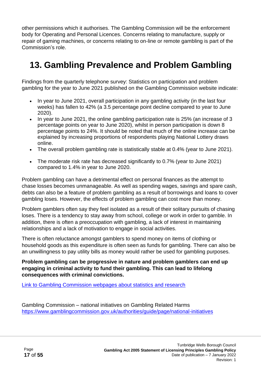other permissions which it authorises. The Gambling Commission will be the enforcement body for Operating and Personal Licences. Concerns relating to manufacture, supply or repair of gaming machines, or concerns relating to on-line or remote gambling is part of the Commission's role.

# **13. Gambling Prevalence and Problem Gambling**

Findings from the quarterly telephone survey: Statistics on participation and problem gambling for the year to June 2021 published on the Gambling Commission website indicate:

- In year to June 2021, overall participation in any gambling activity (in the last four weeks) has fallen to 42% (a 3.5 percentage point decline compared to year to June 2020).
- In year to June 2021, the online gambling participation rate is 25% (an increase of 3 percentage points on year to June 2020), whilst in person participation is down 8 percentage points to 24%. It should be noted that much of the online increase can be explained by increasing proportions of respondents playing National Lottery draws online.
- The overall problem gambling rate is statistically stable at 0.4% (year to June 2021).
- The moderate risk rate has decreased significantly to 0.7% (year to June 2021) compared to 1.4% in year to June 2020.

Problem gambling can have a detrimental effect on personal finances as the attempt to chase losses becomes unmanageable. As well as spending wages, savings and spare cash, debts can also be a feature of problem gambling as a result of borrowings and loans to cover gambling loses. However, the effects of problem gambling can cost more than money.

Problem gamblers often say they feel isolated as a result of their solitary pursuits of chasing loses. There is a tendency to stay away from school, college or work in order to gamble. In addition, there is often a preoccupation with gambling, a lack of interest in maintaining relationships and a lack of motivation to engage in social activities.

There is often reluctance amongst gamblers to spend money on items of clothing or household goods as this expenditure is often seen as funds for gambling. There can also be an unwillingness to pay utility bills as money would rather be used for gambling purposes.

**Problem gambling can be progressive in nature and problem gamblers can end up engaging in criminal activity to fund their gambling. This can lead to lifelong consequences with criminal convictions.**

[Link to Gambling Commission webpages about statistics and research](http://www.gamblingcommission.gov.uk/news-action-and-statistics/Statistics-and-research/Levels-of-participation-and-problem-gambling/Levels-of-problem-gambling-in-England.aspx)

Gambling Commission – national initiatives on Gambling Related Harms <https://www.gamblingcommission.gov.uk/authorities/guide/page/national-initiatives>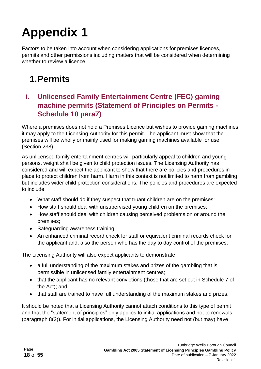Factors to be taken into account when considering applications for premises licences, permits and other permissions including matters that will be considered when determining whether to review a licence.

# **1.Permits**

## **i. Unlicensed Family Entertainment Centre (FEC) gaming machine permits (Statement of Principles on Permits - Schedule 10 para7)**

Where a premises does not hold a Premises Licence but wishes to provide gaming machines it may apply to the Licensing Authority for this permit. The applicant must show that the premises will be wholly or mainly used for making gaming machines available for use (Section 238).

As unlicensed family entertainment centres will particularly appeal to children and young persons, weight shall be given to child protection issues. The Licensing Authority has considered and will expect the applicant to show that there are policies and procedures in place to protect children from harm. Harm in this context is not limited to harm from gambling but includes wider child protection considerations. The policies and procedures are expected to include:

- What staff should do if they suspect that truant children are on the premises;
- How staff should deal with unsupervised young children on the premises;
- How staff should deal with children causing perceived problems on or around the premises;
- Safeguarding awareness training
- An enhanced criminal record check for staff or equivalent criminal records check for the applicant and, also the person who has the day to day control of the premises.

The Licensing Authority will also expect applicants to demonstrate:

- a full understanding of the maximum stakes and prizes of the gambling that is permissible in unlicensed family entertainment centres;
- that the applicant has no relevant convictions (those that are set out in Schedule 7 of the Act); and
- that staff are trained to have full understanding of the maximum stakes and prizes.

It should be noted that a Licensing Authority cannot attach conditions to this type of permit and that the "statement of principles" only applies to initial applications and not to renewals (paragraph 8(2)). For initial applications, the Licensing Authority need not (but may) have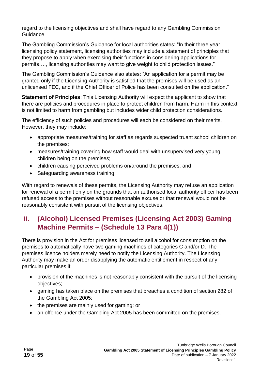regard to the licensing objectives and shall have regard to any Gambling Commission Guidance.

The Gambling Commission's Guidance for local authorities states: "In their three year licensing policy statement, licensing authorities may include a statement of principles that they propose to apply when exercising their functions in considering applications for permits…., licensing authorities may want to give weight to child protection issues."

The Gambling Commission's Guidance also states: "An application for a permit may be granted only if the Licensing Authority is satisfied that the premises will be used as an unlicensed FEC, and if the Chief Officer of Police has been consulted on the application."

**Statement of Principles**: This Licensing Authority will expect the applicant to show that there are policies and procedures in place to protect children from harm. Harm in this context is not limited to harm from gambling but includes wider child protection considerations.

The efficiency of such policies and procedures will each be considered on their merits. However, they may include:

- appropriate measures/training for staff as regards suspected truant school children on the premises;
- measures/training covering how staff would deal with unsupervised very young children being on the premises;
- children causing perceived problems on/around the premises; and
- Safeguarding awareness training.

With regard to renewals of these permits, the Licensing Authority may refuse an application for renewal of a permit only on the grounds that an authorised local authority officer has been refused access to the premises without reasonable excuse or that renewal would not be reasonably consistent with pursuit of the licensing objectives.

## **ii. (Alcohol) Licensed Premises (Licensing Act 2003) Gaming Machine Permits – (Schedule 13 Para 4(1))**

There is provision in the Act for premises licensed to sell alcohol for consumption on the premises to automatically have two gaming machines of categories C and/or D. The premises licence holders merely need to notify the Licensing Authority. The Licensing Authority may make an order disapplying the automatic entitlement in respect of any particular premises if:

- provision of the machines is not reasonably consistent with the pursuit of the licensing objectives;
- gaming has taken place on the premises that breaches a condition of section 282 of the Gambling Act 2005;
- the premises are mainly used for gaming; or
- an offence under the Gambling Act 2005 has been committed on the premises.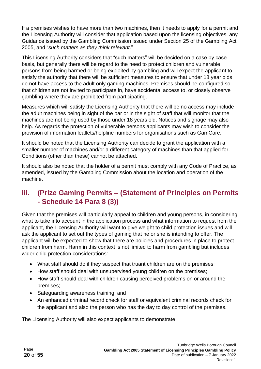If a premises wishes to have more than two machines, then it needs to apply for a permit and the Licensing Authority will consider that application based upon the licensing objectives, any Guidance issued by the Gambling Commission issued under Section 25 of the Gambling Act 2005, and "*such matters as they think relevant*."

This Licensing Authority considers that "such matters" will be decided on a case by case basis, but generally there will be regard to the need to protect children and vulnerable persons from being harmed or being exploited by gambling and will expect the applicant to satisfy the authority that there will be sufficient measures to ensure that under 18 year olds do not have access to the adult only gaming machines. Premises should be configured so that children are not invited to participate in, have accidental access to, or closely observe gambling where they are prohibited from participating.

Measures which will satisfy the Licensing Authority that there will be no access may include the adult machines being in sight of the bar or in the sight of staff that will monitor that the machines are not being used by those under 18 years old. Notices and signage may also help. As regards the protection of vulnerable persons applicants may wish to consider the provision of information leaflets/helpline numbers for organisations such as GamCare.

It should be noted that the Licensing Authority can decide to grant the application with a smaller number of machines and/or a different category of machines than that applied for. Conditions (other than these) cannot be attached.

It should also be noted that the holder of a permit must comply with any Code of Practice, as amended, issued by the Gambling Commission about the location and operation of the machine.

### **iii. (Prize Gaming Permits – (Statement of Principles on Permits - Schedule 14 Para 8 (3))**

Given that the premises will particularly appeal to children and young persons, in considering what to take into account in the application process and what information to request from the applicant, the Licensing Authority will want to give weight to child protection issues and will ask the applicant to set out the types of gaming that he or she is intending to offer. The applicant will be expected to show that there are policies and procedures in place to protect children from harm. Harm in this context is not limited to harm from gambling but includes wider child protection considerations:

- What staff should do if they suspect that truant children are on the premises;
- How staff should deal with unsupervised voung children on the premises:
- How staff should deal with children causing perceived problems on or around the premises;
- Safeguarding awareness training; and
- An enhanced criminal record check for staff or equivalent criminal records check for the applicant and also the person who has the day to day control of the premises.

The Licensing Authority will also expect applicants to demonstrate: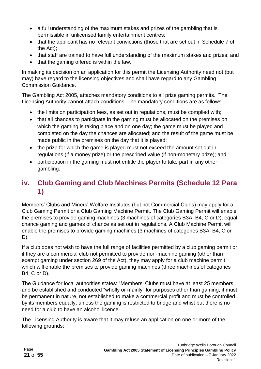- a full understanding of the maximum stakes and prizes of the gambling that is permissible in unlicensed family entertainment centres;
- that the applicant has no relevant convictions (those that are set out in Schedule 7 of the Act);
- that staff are trained to have full understanding of the maximum stakes and prizes; and
- that the gaming offered is within the law.

In making its decision on an application for this permit the Licensing Authority need not (but may) have regard to the licensing objectives and shall have regard to any Gambling Commission Guidance.

The Gambling Act 2005, attaches mandatory conditions to all prize gaming permits. The Licensing Authority cannot attach conditions. The mandatory conditions are as follows:

- the limits on participation fees, as set out in regulations, must be complied with;
- that all chances to participate in the gaming must be allocated on the premises on which the gaming is taking place and on one day; the game must be played and completed on the day the chances are allocated; and the result of the game must be made public in the premises on the day that it is played;
- the prize for which the game is played must not exceed the amount set out in regulations (if a money prize) or the prescribed value (if non-monetary prize); and
- participation in the gaming must not entitle the player to take part in any other gambling.

## **iv. Club Gaming and Club Machines Permits (Schedule 12 Para 1)**

Members' Clubs and Miners' Welfare Institutes (but not Commercial Clubs) may apply for a Club Gaming Permit or a Club Gaming Machine Permit. The Club Gaming Permit will enable the premises to provide gaming machines (3 machines of categories B3A, B4, C or D), equal chance gaming and games of chance as set out in regulations. A Club Machine Permit will enable the premises to provide gaming machines (3 machines of categories B3A, B4, C or D).

If a club does not wish to have the full range of facilities permitted by a club gaming permit or if they are a commercial club not permitted to provide non-machine gaming (other than exempt gaming under section 269 of the Act), they may apply for a club machine permit which will enable the premises to provide gaming machines (three machines of categories B4, C or D).

The Guidance for local authorities states: "Members' Clubs must have at least 25 members and be established and conducted "wholly or mainly" for purposes other than gaming, it must be permanent in nature, not established to make a commercial profit and must be controlled by its members equally, unless the gaming is restricted to bridge and whist but there is no need for a club to have an alcohol licence.

The Licensing Authority is aware that it may refuse an application on one or more of the following grounds: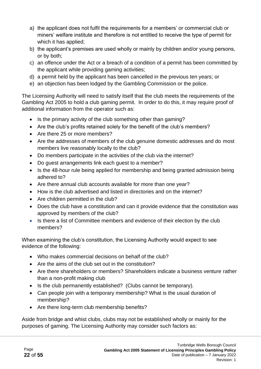- a) the applicant does not fulfil the requirements for a members' or commercial club or miners' welfare institute and therefore is not entitled to receive the type of permit for which it has applied;
- b) the applicant's premises are used wholly or mainly by children and/or young persons, or by both;
- c) an offence under the Act or a breach of a condition of a permit has been committed by the applicant while providing gaming activities;
- d) a permit held by the applicant has been cancelled in the previous ten years; or
- e) an objection has been lodged by the Gambling Commission or the police.

The Licensing Authority will need to satisfy itself that the club meets the requirements of the Gambling Act 2005 to hold a club gaming permit. In order to do this, it may require proof of additional information from the operator such as:

- Is the primary activity of the club something other than gaming?
- Are the club's profits retained solely for the benefit of the club's members?
- Are there 25 or more members?
- Are the addresses of members of the club genuine domestic addresses and do most members live reasonably locally to the club?
- Do members participate in the activities of the club via the internet?
- Do guest arrangements link each guest to a member?
- Is the 48-hour rule being applied for membership and being granted admission being adhered to?
- Are there annual club accounts available for more than one year?
- How is the club advertised and listed in directories and on the internet?
- Are children permitted in the club?
- Does the club have a constitution and can it provide evidence that the constitution was approved by members of the club?
- Is there a list of Committee members and evidence of their election by the club members?

When examining the club's constitution, the Licensing Authority would expect to see evidence of the following:

- Who makes commercial decisions on behalf of the club?
- Are the aims of the club set out in the constitution?
- Are there shareholders or members? Shareholders indicate a business venture rather than a non-profit making club
- Is the club permanently established? (Clubs cannot be temporary).
- Can people join with a temporary membership? What is the usual duration of membership?
- Are there long-term club membership benefits?

Aside from bridge and whist clubs, clubs may not be established wholly or mainly for the purposes of gaming. The Licensing Authority may consider such factors as: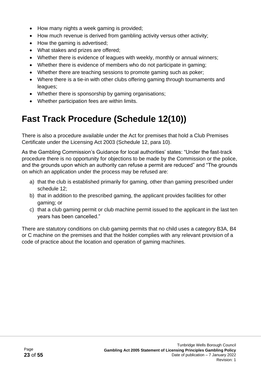- How many nights a week gaming is provided;
- How much revenue is derived from gambling activity versus other activity;
- How the gaming is advertised:
- What stakes and prizes are offered;
- Whether there is evidence of leagues with weekly, monthly or annual winners;
- Whether there is evidence of members who do not participate in gaming;
- Whether there are teaching sessions to promote gaming such as poker;
- Where there is a tie-in with other clubs offering gaming through tournaments and leagues;
- Whether there is sponsorship by gaming organisations;
- Whether participation fees are within limits.

# **Fast Track Procedure (Schedule 12(10))**

There is also a procedure available under the Act for premises that hold a Club Premises Certificate under the Licensing Act 2003 (Schedule 12, para 10).

As the Gambling Commission's Guidance for local authorities' states: "Under the fast-track procedure there is no opportunity for objections to be made by the Commission or the police, and the grounds upon which an authority can refuse a permit are reduced" and "The grounds on which an application under the process may be refused are:

- a) that the club is established primarily for gaming, other than gaming prescribed under schedule 12;
- b) that in addition to the prescribed gaming, the applicant provides facilities for other gaming; or
- c) that a club gaming permit or club machine permit issued to the applicant in the last ten years has been cancelled."

There are statutory conditions on club gaming permits that no child uses a category B3A, B4 or C machine on the premises and that the holder complies with any relevant provision of a code of practice about the location and operation of gaming machines.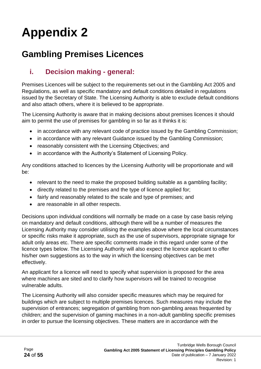# **Gambling Premises Licences**

## **i. Decision making - general:**

Premises Licences will be subject to the requirements set-out in the Gambling Act 2005 and Regulations, as well as specific mandatory and default conditions detailed in regulations issued by the Secretary of State. The Licensing Authority is able to exclude default conditions and also attach others, where it is believed to be appropriate.

The Licensing Authority is aware that in making decisions about premises licences it should aim to permit the use of premises for gambling in so far as it thinks it is:

- in accordance with any relevant code of practice issued by the Gambling Commission;
- in accordance with any relevant Guidance issued by the Gambling Commission:
- reasonably consistent with the Licensing Objectives; and
- in accordance with the Authority's Statement of Licensing Policy.

Any conditions attached to licences by the Licensing Authority will be proportionate and will be:

- relevant to the need to make the proposed building suitable as a gambling facility;
- directly related to the premises and the type of licence applied for;
- fairly and reasonably related to the scale and type of premises; and
- are reasonable in all other respects.

Decisions upon individual conditions will normally be made on a case by case basis relying on mandatory and default conditions, although there will be a number of measures the Licensing Authority may consider utilising the examples above where the local circumstances or specific risks make it appropriate, such as the use of supervisors, appropriate signage for adult only areas etc. There are specific comments made in this regard under some of the licence types below. The Licensing Authority will also expect the licence applicant to offer his/her own suggestions as to the way in which the licensing objectives can be met effectively.

An applicant for a licence will need to specify what supervision is proposed for the area where machines are sited and to clarify how supervisors will be trained to recognise vulnerable adults.

The Licensing Authority will also consider specific measures which may be required for buildings which are subject to multiple premises licences. Such measures may include the supervision of entrances; segregation of gambling from non-gambling areas frequented by children; and the supervision of gaming machines in a non-adult gambling specific premises in order to pursue the licensing objectives. These matters are in accordance with the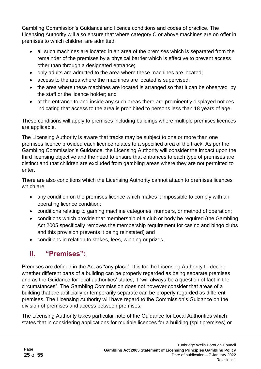Gambling Commission's Guidance and licence conditions and codes of practice. The Licensing Authority will also ensure that where category C or above machines are on offer in premises to which children are admitted:

- all such machines are located in an area of the premises which is separated from the remainder of the premises by a physical barrier which is effective to prevent access other than through a designated entrance;
- only adults are admitted to the area where these machines are located;
- access to the area where the machines are located is supervised;
- the area where these machines are located is arranged so that it can be observed by the staff or the licence holder; and
- at the entrance to and inside any such areas there are prominently displayed notices indicating that access to the area is prohibited to persons less than 18 years of age.

These conditions will apply to premises including buildings where multiple premises licences are applicable.

The Licensing Authority is aware that tracks may be subject to one or more than one premises licence provided each licence relates to a specified area of the track. As per the Gambling Commission's Guidance, the Licensing Authority will consider the impact upon the third licensing objective and the need to ensure that entrances to each type of premises are distinct and that children are excluded from gambling areas where they are not permitted to enter.

There are also conditions which the Licensing Authority cannot attach to premises licences which are:

- any condition on the premises licence which makes it impossible to comply with an operating licence condition;
- conditions relating to gaming machine categories, numbers, or method of operation;
- conditions which provide that membership of a club or body be required (the Gambling Act 2005 specifically removes the membership requirement for casino and bingo clubs and this provision prevents it being reinstated) and
- conditions in relation to stakes, fees, winning or prizes.

## **ii. "Premises":**

Premises are defined in the Act as "any place". It is for the Licensing Authority to decide whether different parts of a building can be properly regarded as being separate premises and as the Guidance for local authorities' states, it "will always be a question of fact in the circumstances". The Gambling Commission does not however consider that areas of a building that are artificially or temporarily separate can be properly regarded as different premises. The Licensing Authority will have regard to the Commission's Guidance on the division of premises and access between premises.

The Licensing Authority takes particular note of the Guidance for Local Authorities which states that in considering applications for multiple licences for a building (split premises) or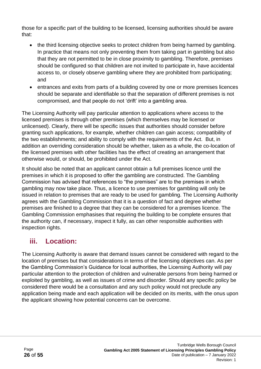those for a specific part of the building to be licensed, licensing authorities should be aware that:

- the third licensing objective seeks to protect children from being harmed by gambling. In practice that means not only preventing them from taking part in gambling but also that they are not permitted to be in close proximity to gambling. Therefore, premises should be configured so that children are not invited to participate in, have accidental access to, or closely observe gambling where they are prohibited from participating; and
- entrances and exits from parts of a building covered by one or more premises licences should be separate and identifiable so that the separation of different premises is not compromised, and that people do not 'drift' into a gambling area.

The Licensing Authority will pay particular attention to applications where access to the licensed premises is through other premises (which themselves may be licensed or unlicensed). Clearly, there will be specific issues that authorities should consider before granting such applications, for example, whether children can gain access; compatibility of the two establishments; and ability to comply with the requirements of the Act. But, in addition an overriding consideration should be whether, taken as a whole, the co-location of the licensed premises with other facilities has the effect of creating an arrangement that otherwise would, or should, be prohibited under the Act.

It should also be noted that an applicant cannot obtain a full premises licence until the premises in which it is proposed to offer the gambling are constructed. The Gambling Commission has advised that references to "the premises" are to the premises in which gambling may now take place. Thus, a licence to use premises for gambling will only be issued in relation to premises that are ready to be used for gambling. The Licensing Authority agrees with the Gambling Commission that it is a question of fact and degree whether premises are finished to a degree that they can be considered for a premises licence. The Gambling Commission emphasises that requiring the building to be complete ensures that the authority can, if necessary, inspect it fully, as can other responsible authorities with inspection rights.

## **iii. Location:**

The Licensing Authority is aware that demand issues cannot be considered with regard to the location of premises but that considerations in terms of the licensing objectives can. As per the Gambling Commission's Guidance for local authorities, the Licensing Authority will pay particular attention to the protection of children and vulnerable persons from being harmed or exploited by gambling, as well as issues of crime and disorder. Should any specific policy be considered there would be a consultation and any such policy would not preclude any application being made and each application will be decided on its merits, with the onus upon the applicant showing how potential concerns can be overcome.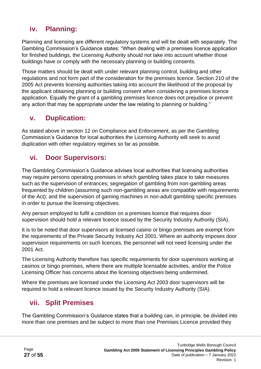## **iv. Planning:**

Planning and licensing are different regulatory systems and will be dealt with separately. The Gambling Commission's Guidance states: "When dealing with a premises licence application for finished buildings, the Licensing Authority should not take into account whether those buildings have or comply with the necessary planning or building consents.

Those matters should be dealt with under relevant planning control, building and other regulations and not form part of the consideration for the premises licence. Section 210 of the 2005 Act prevents licensing authorities taking into account the likelihood of the proposal by the applicant obtaining planning or building consent when considering a premises licence application. Equally the grant of a gambling premises licence does not prejudice or prevent any action that may be appropriate under the law relating to planning or building."

### **v. Duplication:**

As stated above in section 12 on Compliance and Enforcement, as per the Gambling Commission's Guidance for local authorities the Licensing Authority will seek to avoid duplication with other regulatory regimes so far as possible.

### **vi. Door Supervisors:**

The Gambling Commission's Guidance advises local authorities that licensing authorities may require persons operating premises in which gambling takes place to take measures such as the supervision of entrances; segregation of gambling from non-gambling areas frequented by children (assuming such non-gambling areas are compatible with requirements of the Act); and the supervision of gaming machines in non-adult gambling specific premises in order to pursue the licensing objectives.

Any person employed to fulfil a condition on a premises licence that requires door supervision should hold a relevant licence issued by the Security Industry Authority (SIA).

It is to be noted that door supervisors at licensed casino or bingo premises are exempt from the requirements of the Private Security Industry Act 2001. Where an authority imposes door supervision requirements on such licences, the personnel will not need licensing under the 2001 Act.

The Licensing Authority therefore has specific requirements for door supervisors working at casinos or bingo premises, where there are multiple licensable activities, and/or the Police Licensing Officer has concerns about the licensing objectives being undermined.

Where the premises are licensed under the Licensing Act 2003 door supervisors will be required to hold a relevant licence issued by the Security Industry Authority (SIA).

### **vii. Split Premises**

The Gambling Commission's Guidance states that a building can, in principle, be divided into more than one premises and be subject to more than one Premises Licence provided they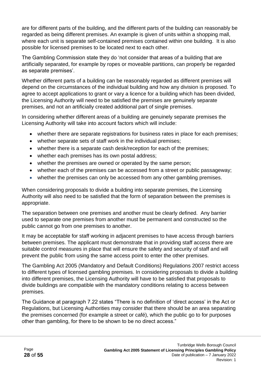are for different parts of the building, and the different parts of the building can reasonably be regarded as being different premises. An example is given of units within a shopping mall, where each unit is separate self-contained premises contained within one building. It is also possible for licensed premises to be located next to each other.

The Gambling Commission state they do 'not consider that areas of a building that are artificially separated, for example by ropes or moveable partitions, can properly be regarded as separate premises'.

Whether different parts of a building can be reasonably regarded as different premises will depend on the circumstances of the individual building and how any division is proposed. To agree to accept applications to grant or vary a licence for a building which has been divided, the Licensing Authority will need to be satisfied the premises are genuinely separate premises, and not an artificially created additional part of single premises.

In considering whether different areas of a building are genuinely separate premises the Licensing Authority will take into account factors which will include:

- whether there are separate registrations for business rates in place for each premises;
- whether separate sets of staff work in the individual premises;
- whether there is a separate cash desk/reception for each of the premises;
- whether each premises has its own postal address;
- whether the premises are owned or operated by the same person;
- whether each of the premises can be accessed from a street or public passageway;
- whether the premises can only be accessed from any other gambling premises.

When considering proposals to divide a building into separate premises, the Licensing Authority will also need to be satisfied that the form of separation between the premises is appropriate.

The separation between one premises and another must be clearly defined. Any barrier used to separate one premises from another must be permanent and constructed so the public cannot go from one premises to another.

It may be acceptable for staff working in adjacent premises to have access through barriers between premises. The applicant must demonstrate that in providing staff access there are suitable control measures in place that will ensure the safety and security of staff and will prevent the public from using the same access point to enter the other premises.

The Gambling Act 2005 (Mandatory and Default Conditions) Regulations 2007 restrict access to different types of licensed gambling premises. In considering proposals to divide a building into different premises, the Licensing Authority will have to be satisfied that proposals to divide buildings are compatible with the mandatory conditions relating to access between premises.

The Guidance at paragraph 7.22 states "There is no definition of 'direct access' in the Act or Regulations, but Licensing Authorities may consider that there should be an area separating the premises concerned (for example a street or café), which the public go to for purposes other than gambling, for there to be shown to be no direct access."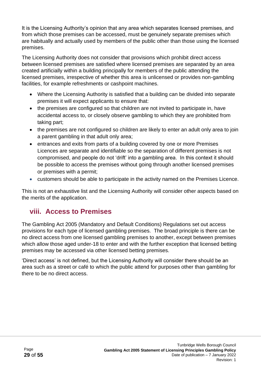It is the Licensing Authority's opinion that any area which separates licensed premises, and from which those premises can be accessed, must be genuinely separate premises which are habitually and actually used by members of the public other than those using the licensed premises.

The Licensing Authority does not consider that provisions which prohibit direct access between licensed premises are satisfied where licensed premises are separated by an area created artificially within a building principally for members of the public attending the licensed premises, irrespective of whether this area is unlicensed or provides non-gambling facilities, for example refreshments or cashpoint machines.

- Where the Licensing Authority is satisfied that a building can be divided into separate premises it will expect applicants to ensure that:
- the premises are configured so that children are not invited to participate in, have accidental access to, or closely observe gambling to which they are prohibited from taking part;
- the premises are not configured so children are likely to enter an adult only area to join a parent gambling in that adult only area;
- entrances and exits from parts of a building covered by one or more Premises Licences are separate and identifiable so the separation of different premises is not compromised, and people do not 'drift' into a gambling area. In this context it should be possible to access the premises without going through another licensed premises or premises with a permit;
- customers should be able to participate in the activity named on the Premises Licence.

This is not an exhaustive list and the Licensing Authority will consider other aspects based on the merits of the application.

### **viii. Access to Premises**

The Gambling Act 2005 (Mandatory and Default Conditions) Regulations set out access provisions for each type of licensed gambling premises. The broad principle is there can be no direct access from one licensed gambling premises to another, except between premises which allow those aged under-18 to enter and with the further exception that licensed betting premises may be accessed via other licensed betting premises.

'Direct access' is not defined, but the Licensing Authority will consider there should be an area such as a street or café to which the public attend for purposes other than gambling for there to be no direct access.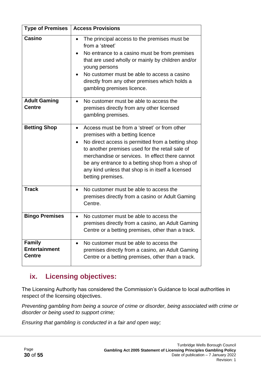| <b>Type of Premises</b><br><b>Access Provisions</b>    |                                                                                                                                                                                                                                                                                                                                                                          |
|--------------------------------------------------------|--------------------------------------------------------------------------------------------------------------------------------------------------------------------------------------------------------------------------------------------------------------------------------------------------------------------------------------------------------------------------|
| <b>Casino</b>                                          | The principal access to the premises must be.<br>from a 'street'<br>No entrance to a casino must be from premises<br>that are used wholly or mainly by children and/or<br>young persons<br>No customer must be able to access a casino<br>directly from any other premises which holds a<br>gambling premises licence.                                                   |
| <b>Adult Gaming</b><br><b>Centre</b>                   | No customer must be able to access the<br>premises directly from any other licensed<br>gambling premises.                                                                                                                                                                                                                                                                |
| <b>Betting Shop</b>                                    | Access must be from a 'street' or from other<br>premises with a betting licence<br>No direct access is permitted from a betting shop<br>to another premises used for the retail sale of<br>merchandise or services. In effect there cannot<br>be any entrance to a betting shop from a shop of<br>any kind unless that shop is in itself a licensed<br>betting premises. |
| <b>Track</b>                                           | No customer must be able to access the<br>premises directly from a casino or Adult Gaming<br>Centre.                                                                                                                                                                                                                                                                     |
| <b>Bingo Premises</b>                                  | No customer must be able to access the<br>premises directly from a casino, an Adult Gaming<br>Centre or a betting premises, other than a track.                                                                                                                                                                                                                          |
| <b>Family</b><br><b>Entertainment</b><br><b>Centre</b> | No customer must be able to access the<br>premises directly from a casino, an Adult Gaming<br>Centre or a betting premises, other than a track.                                                                                                                                                                                                                          |

## **ix. Licensing objectives:**

The Licensing Authority has considered the Commission's Guidance to local authorities in respect of the licensing objectives.

*Preventing gambling from being a source of crime or disorder, being associated with crime or disorder or being used to support crime;*

*Ensuring that gambling is conducted in a fair and open way;*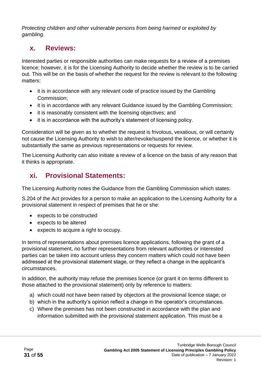*Protecting children and other vulnerable persons from being harmed or exploited by gambling.*

### **x. Reviews:**

Interested parties or responsible authorities can make requests for a review of a premises licence; however, it is for the Licensing Authority to decide whether the review is to be carried out. This will be on the basis of whether the request for the review is relevant to the following matters:

- it is in accordance with any relevant code of practice issued by the Gambling Commission;
- it is in accordance with any relevant Guidance issued by the Gambling Commission;
- it is reasonably consistent with the licensing objectives; and
- it is in accordance with the authority's statement of licensing policy.

Consideration will be given as to whether the request is frivolous, vexatious, or will certainly not cause the Licensing Authority to wish to alter/revoke/suspend the licence, or whether it is substantially the same as previous representations or requests for review.

The Licensing Authority can also initiate a review of a licence on the basis of any reason that it thinks is appropriate.

## **xi. Provisional Statements:**

The Licensing Authority notes the Guidance from the Gambling Commission which states:

S.204 of the Act provides for a person to make an application to the Licensing Authority for a provisional statement in respect of premises that he or she:

- expects to be constructed
- expects to be altered
- expects to acquire a right to occupy.

In terms of representations about premises licence applications, following the grant of a provisional statement, no further representations from relevant authorities or interested parties can be taken into account unless they concern matters which could not have been addressed at the provisional statement stage, or they reflect a change in the applicant's circumstances.

In addition, the authority may refuse the premises licence (or grant it on terms different to those attached to the provisional statement) only by reference to matters:

- a) which could not have been raised by objectors at the provisional licence stage; or
- b) which in the authority's opinion reflect a change in the operator's circumstances.
- c) Where the premises has not been constructed in accordance with the plan and information submitted with the provisional statement application. This must be a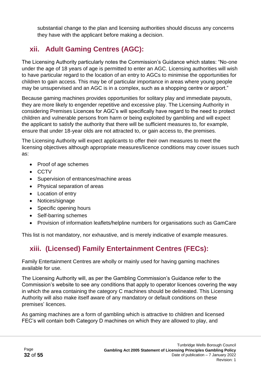substantial change to the plan and licensing authorities should discuss any concerns they have with the applicant before making a decision.

# **xii. Adult Gaming Centres (AGC):**

The Licensing Authority particularly notes the Commission's Guidance which states: "No-one under the age of 18 years of age is permitted to enter an AGC. Licensing authorities will wish to have particular regard to the location of an entry to AGCs to minimise the opportunities for children to gain access. This may be of particular importance in areas where young people may be unsupervised and an AGC is in a complex, such as a shopping centre or airport."

Because gaming machines provides opportunities for solitary play and immediate payouts, they are more likely to engender repetitive and excessive play. The Licensing Authority in considering Premises Licences for AGC's will specifically have regard to the need to protect children and vulnerable persons from harm or being exploited by gambling and will expect the applicant to satisfy the authority that there will be sufficient measures to, for example, ensure that under 18-year olds are not attracted to, or gain access to, the premises.

The Licensing Authority will expect applicants to offer their own measures to meet the licensing objectives although appropriate measures/licence conditions may cover issues such as:

- Proof of age schemes
- CCTV
- Supervision of entrances/machine areas
- Physical separation of areas
- Location of entry
- Notices/signage
- Specific opening hours
- Self-barring schemes
- Provision of information leaflets/helpline numbers for organisations such as GamCare

This list is not mandatory, nor exhaustive, and is merely indicative of example measures.

# **xiii. (Licensed) Family Entertainment Centres (FECs):**

Family Entertainment Centres are wholly or mainly used for having gaming machines available for use.

The Licensing Authority will, as per the Gambling Commission's Guidance refer to the Commission's website to see any conditions that apply to operator licences covering the way in which the area containing the category C machines should be delineated. This Licensing Authority will also make itself aware of any mandatory or default conditions on these premises' licences.

As gaming machines are a form of gambling which is attractive to children and licensed FEC's will contain both Category D machines on which they are allowed to play, and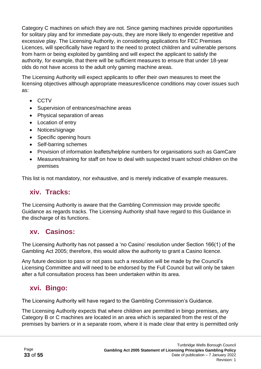Category C machines on which they are not. Since gaming machines provide opportunities for solitary play and for immediate pay-outs, they are more likely to engender repetitive and excessive play. The Licensing Authority, in considering applications for FEC Premises Licences, will specifically have regard to the need to protect children and vulnerable persons from harm or being exploited by gambling and will expect the applicant to satisfy the authority, for example, that there will be sufficient measures to ensure that under 18-year olds do not have access to the adult only gaming machine areas.

The Licensing Authority will expect applicants to offer their own measures to meet the licensing objectives although appropriate measures/licence conditions may cover issues such as:

- CCTV
- Supervision of entrances/machine areas
- Physical separation of areas
- Location of entry
- Notices/signage
- Specific opening hours
- Self-barring schemes
- Provision of information leaflets/helpline numbers for organisations such as GamCare
- Measures/training for staff on how to deal with suspected truant school children on the premises

This list is not mandatory, nor exhaustive, and is merely indicative of example measures.

#### **xiv. Tracks:**

The Licensing Authority is aware that the Gambling Commission may provide specific Guidance as regards tracks. The Licensing Authority shall have regard to this Guidance in the discharge of its functions.

#### **xv. Casinos:**

The Licensing Authority has not passed a 'no Casino' resolution under Section 166(1) of the Gambling Act 2005; therefore, this would allow the authority to grant a Casino licence.

Any future decision to pass or not pass such a resolution will be made by the Council's Licensing Committee and will need to be endorsed by the Full Council but will only be taken after a full consultation process has been undertaken within its area.

### **xvi. Bingo:**

The Licensing Authority will have regard to the Gambling Commission's Guidance.

The Licensing Authority expects that where children are permitted in bingo premises, any Category B or C machines are located in an area which is separated from the rest of the premises by barriers or in a separate room, where it is made clear that entry is permitted only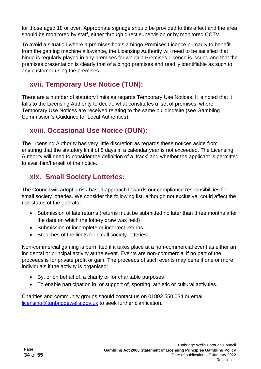for those aged 18 or over. Appropriate signage should be provided to this effect and the area should be monitored by staff, either through direct supervision or by monitored CCTV.

To avoid a situation where a premises holds a bingo Premises Licence primarily to benefit from the gaming machine allowance, the Licensing Authority will need to be satisfied that bingo is regularly played in any premises for which a Premises Licence is issued and that the premises presentation is clearly that of a bingo premises and readily identifiable as such to any customer using the premises.

# **xvii. Temporary Use Notice (TUN):**

There are a number of statutory limits as regards Temporary Use Notices. It is noted that it falls to the Licensing Authority to decide what constitutes a 'set of premises' where Temporary Use Notices are received relating to the same building/site (see Gambling Commission's Guidance for Local Authorities).

# **xviii. Occasional Use Notice (OUN):**

The Licensing Authority has very little discretion as regards these notices aside from ensuring that the statutory limit of 8 days in a calendar year is not exceeded. The Licensing Authority will need to consider the definition of a 'track' and whether the applicant is permitted to avail him/herself of the notice.

## **xix. Small Society Lotteries:**

The Council will adopt a risk-based approach towards our compliance responsibilities for small society lotteries. We consider the following list, although not exclusive, could affect the risk status of the operator:

- Submission of late returns (returns must be submitted no later than three months after the date on which the lottery draw was held)
- Submission of incomplete or incorrect returns
- Breaches of the limits for small society lotteries

Non-commercial gaming is permitted if it takes place at a non-commercial event as either an incidental or principal activity at the event. Events are non-commercial if no part of the proceeds is for private profit or gain. The proceeds of such events may benefit one or more individuals if the activity is organised:

- By, or on behalf of, a charity or for charitable purposes
- To enable participation in. or support of, sporting, athletic or cultural activities.

Charities and community groups should contact us on 01892 550 034 or email [licensing@tunbridgewells.gov.uk](mailto:licensing@tunbridgewells.gov.uk) to seek further clarification.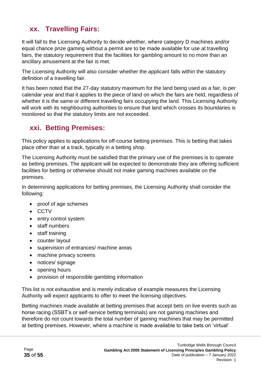## **xx. Travelling Fairs:**

It will fall to the Licensing Authority to decide whether, where category D machines and/or equal chance prize gaming without a permit are to be made available for use at travelling fairs, the statutory requirement that the facilities for gambling amount to no more than an ancillary amusement at the fair is met.

The Licensing Authority will also consider whether the applicant falls within the statutory definition of a travelling fair.

It has been noted that the 27-day statutory maximum for the land being used as a fair, is per calendar year and that it applies to the piece of land on which the fairs are held, regardless of whether it is the same or different travelling fairs occupying the land. This Licensing Authority will work with its neighbouring authorities to ensure that land which crosses its boundaries is monitored so that the statutory limits are not exceeded.

### **xxi. Betting Premises:**

This policy applies to applications for off-course betting premises. This is betting that takes place other than at a track, typically in a betting shop.

The Licensing Authority must be satisfied that the primary use of the premises is to operate as betting premises. The applicant will be expected to demonstrate they are offering sufficient facilities for betting or otherwise should not make gaming machines available on the premises.

In determining applications for betting premises, the Licensing Authority shall consider the following:

- proof of age schemes
- CCTV
- entry control system
- staff numbers
- staff training
- counter layout
- supervision of entrances/ machine areas
- machine privacy screens
- notices/ signage
- opening hours
- provision of responsible gambling information

This list is not exhaustive and is merely indicative of example measures the Licensing Authority will expect applicants to offer to meet the licensing objectives.

Betting machines made available at betting premises that accept bets on live events such as horse racing (SSBT's or self-service betting terminals) are not gaming machines and therefore do not count towards the total number of gaming machines that may be permitted at betting premises. However, where a machine is made available to take bets on 'virtual'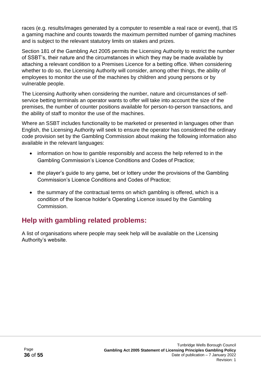races (e.g. results/images generated by a computer to resemble a real race or event), that IS a gaming machine and counts towards the maximum permitted number of gaming machines and is subject to the relevant statutory limits on stakes and prizes.

Section 181 of the Gambling Act 2005 permits the Licensing Authority to restrict the number of SSBT's, their nature and the circumstances in which they may be made available by attaching a relevant condition to a Premises Licence for a betting office. When considering whether to do so, the Licensing Authority will consider, among other things, the ability of employees to monitor the use of the machines by children and young persons or by vulnerable people.

The Licensing Authority when considering the number, nature and circumstances of selfservice betting terminals an operator wants to offer will take into account the size of the premises, the number of counter positions available for person-to-person transactions, and the ability of staff to monitor the use of the machines.

Where an SSBT includes functionality to be marketed or presented in languages other than English, the Licensing Authority will seek to ensure the operator has considered the ordinary code provision set by the Gambling Commission about making the following information also available in the relevant languages:

- information on how to gamble responsibly and access the help referred to in the Gambling Commission's Licence Conditions and Codes of Practice;
- the player's guide to any game, bet or lottery under the provisions of the Gambling Commission's Licence Conditions and Codes of Practice;
- the summary of the contractual terms on which gambling is offered, which is a condition of the licence holder's Operating Licence issued by the Gambling **Commission**

# **Help with gambling related problems:**

A list of organisations where people may seek help will be available on the Licensing Authority's website.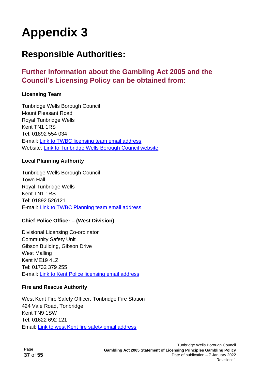# **Responsible Authorities:**

### **Further information about the Gambling Act 2005 and the Council's Licensing Policy can be obtained from:**

#### **Licensing Team**

Tunbridge Wells Borough Council Mount Pleasant Road Royal Tunbridge Wells Kent TN1 1RS Tel: 01892 554 034 E-mail: [Link to TWBC licensing team email address](mailto:licensing@tunbridgewells.gov.uk) Website: [Link to Tunbridge Wells Borough Council website](http://www.tunbridgewells.gov.uk/)

#### **Local Planning Authority**

Tunbridge Wells Borough Council Town Hall Royal Tunbridge Wells Kent TN1 1RS Tel: 01892 526121 E-mail: [Link to TWBC Planning team email address](mailto:planning@tunbridgewells.gov.uk)

#### **Chief Police Officer – (West Division)**

Divisional Licensing Co-ordinator Community Safety Unit Gibson Building, Gibson Drive West Malling Kent ME19 4LZ Tel: 01732 379 255 E-mail: [Link to Kent Police licensing email address](mailto:west.division.licensing@kent.pnn.police.uk)

#### **Fire and Rescue Authority**

West Kent Fire Safety Officer, Tonbridge Fire Station 424 Vale Road, Tonbridge Kent TN9 1SW Tel: 01622 692 121 Email: [Link to west Kent fire safety email address](mailto:tonbridge.firesafety@kent.fire-uk.org)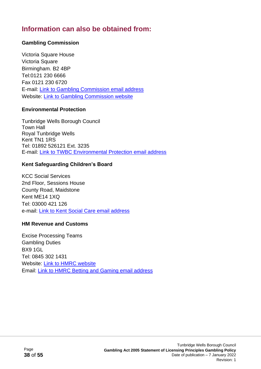## **Information can also be obtained from:**

#### **Gambling Commission**

Victoria Square House Victoria Square Birmingham. B2 4BP Tel:0121 230 6666 Fax 0121 230 6720 E-mail: [Link to Gambling Commission email address](mailto:info@gamblingcommission.gov.uk) Website: [Link to Gambling Commission website](http://www.gamblingcommission.gov.uk/)

#### **Environmental Protection**

Tunbridge Wells Borough Council Town Hall Royal Tunbridge Wells Kent TN1 1RS Tel: 01892 526121 Ext. 3235 E-mail: [Link to TWBC Environmental Protection email address](mailto:ehadmintwbc@midkent.gov.uk)

#### **Kent Safeguarding Children's Board**

KCC Social Services 2nd Floor, Sessions House County Road, Maidstone Kent ME14 1XQ Tel: 03000 421 126 e-mail: [Link to Kent Social Care email address](mailto:kscb@kent.gov.uk)

#### **HM Revenue and Customs**

Excise Processing Teams Gambling Duties BX9 1GL Tel: 0845 302 1431 Website: [Link to HMRC website](http://www.hmrc.gov.uk/)  Email: [Link to HMRC Betting and Gaming email address](mailto:nrubetting&gaming@hmrc.gsi.gov.uk)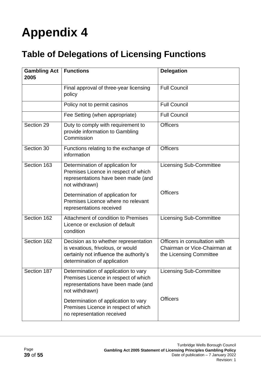# **Table of Delegations of Licensing Functions**

| <b>Gambling Act</b><br>2005 | <b>Functions</b>                                                                                                                                      | <b>Delegation</b>                                                                        |  |
|-----------------------------|-------------------------------------------------------------------------------------------------------------------------------------------------------|------------------------------------------------------------------------------------------|--|
|                             | Final approval of three-year licensing<br>policy                                                                                                      | <b>Full Council</b>                                                                      |  |
|                             | Policy not to permit casinos                                                                                                                          | <b>Full Council</b>                                                                      |  |
|                             | Fee Setting (when appropriate)                                                                                                                        | <b>Full Council</b>                                                                      |  |
| Section 29                  | Duty to comply with requirement to<br>provide information to Gambling<br>Commission                                                                   | <b>Officers</b>                                                                          |  |
| Section 30                  | Functions relating to the exchange of<br>information                                                                                                  | <b>Officers</b>                                                                          |  |
| Section 163                 | Determination of application for<br>Premises Licence in respect of which<br>representations have been made (and<br>not withdrawn)                     | <b>Licensing Sub-Committee</b>                                                           |  |
|                             | Determination of application for<br>Premises Licence where no relevant<br>representations received                                                    | <b>Officers</b>                                                                          |  |
| Section 162                 | Attachment of condition to Premises<br>Licence or exclusion of default<br>condition                                                                   | <b>Licensing Sub-Committee</b>                                                           |  |
| Section 162                 | Decision as to whether representation<br>is vexatious, frivolous, or would<br>certainly not influence the authority's<br>determination of application | Officers in consultation with<br>Chairman or Vice-Chairman at<br>the Licensing Committee |  |
| Section 187                 | Determination of application to vary<br>Premises Licence in respect of which<br>representations have been made (and<br>not withdrawn)                 | <b>Licensing Sub-Committee</b>                                                           |  |
|                             | Determination of application to vary<br>Premises Licence in respect of which<br>no representation received                                            | <b>Officers</b>                                                                          |  |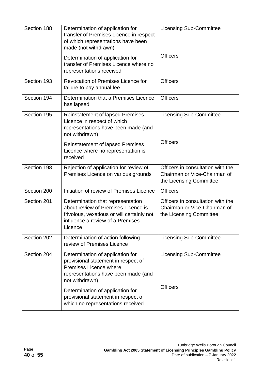| Section 188 | Determination of application for<br>transfer of Premises Licence in respect<br>of which representations have been<br>made (not withdrawn)<br>Determination of application for<br>transfer of Premises Licence where no<br>representations received | <b>Licensing Sub-Committee</b><br><b>Officers</b>                                            |
|-------------|----------------------------------------------------------------------------------------------------------------------------------------------------------------------------------------------------------------------------------------------------|----------------------------------------------------------------------------------------------|
| Section 193 | Revocation of Premises Licence for<br>failure to pay annual fee                                                                                                                                                                                    | <b>Officers</b>                                                                              |
| Section 194 | Determination that a Premises Licence<br>has lapsed                                                                                                                                                                                                | <b>Officers</b>                                                                              |
| Section 195 | <b>Reinstatement of lapsed Premises</b><br>Licence in respect of which<br>representations have been made (and<br>not withdrawn)                                                                                                                    | <b>Licensing Sub-Committee</b>                                                               |
|             | <b>Reinstatement of lapsed Premises</b><br>Licence where no representation is<br>received                                                                                                                                                          | <b>Officers</b>                                                                              |
| Section 198 | Rejection of application for review of<br>Premises Licence on various grounds                                                                                                                                                                      | Officers in consultation with the<br>Chairman or Vice-Chairman of<br>the Licensing Committee |
| Section 200 | Initiation of review of Premises Licence                                                                                                                                                                                                           | <b>Officers</b>                                                                              |
| Section 201 | Determination that representation<br>about review of Premises Licence is<br>frivolous, vexatious or will certainly not<br>influence a review of a Premises<br>Licence                                                                              | Officers in consultation with the<br>Chairman or Vice-Chairman of<br>the Licensing Committee |
| Section 202 | Determination of action following<br>review of Premises Licence                                                                                                                                                                                    | <b>Licensing Sub-Committee</b>                                                               |
| Section 204 | Determination of application for<br>provisional statement in respect of<br>Premises Licence where<br>representations have been made (and<br>not withdrawn)                                                                                         | <b>Licensing Sub-Committee</b><br><b>Officers</b>                                            |
|             | Determination of application for<br>provisional statement in respect of<br>which no representations received                                                                                                                                       |                                                                                              |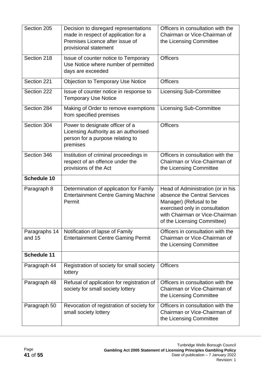| Section 205             | Decision to disregard representations<br>made in respect of application for a<br>Premises Licence after issue of<br>provisional statement | Officers in consultation with the<br>Chairman or Vice-Chairman of<br>the Licensing Committee                                                                                                    |
|-------------------------|-------------------------------------------------------------------------------------------------------------------------------------------|-------------------------------------------------------------------------------------------------------------------------------------------------------------------------------------------------|
| Section 218             | Issue of counter notice to Temporary<br>Use Notice where number of permitted<br>days are exceeded                                         | <b>Officers</b>                                                                                                                                                                                 |
| Section 221             | <b>Objection to Temporary Use Notice</b>                                                                                                  | <b>Officers</b>                                                                                                                                                                                 |
| Section 222             | Issue of counter notice in response to<br><b>Temporary Use Notice</b>                                                                     | <b>Licensing Sub-Committee</b>                                                                                                                                                                  |
| Section 284             | Making of Order to remove exemptions<br>from specified premises                                                                           | <b>Licensing Sub-Committee</b>                                                                                                                                                                  |
| Section 304             | Power to designate officer of a<br>Licensing Authority as an authorised<br>person for a purpose relating to<br>premises                   | <b>Officers</b>                                                                                                                                                                                 |
| Section 346             | Institution of criminal proceedings in<br>respect of an offence under the<br>provisions of the Act                                        | Officers in consultation with the<br>Chairman or Vice-Chairman of<br>the Licensing Committee                                                                                                    |
| <b>Schedule 10</b>      |                                                                                                                                           |                                                                                                                                                                                                 |
| Paragraph 8             | Determination of application for Family<br><b>Entertainment Centre Gaming Machine</b><br>Permit                                           | Head of Administration (or in his<br>absence the Central Services<br>Manager) (Refusal to be<br>exercised only in consultation<br>with Chairman or Vice-Chairman<br>of the Licensing Committee) |
| Paragraphs 14<br>and 15 | Notification of lapse of Family<br><b>Entertainment Centre Gaming Permit</b>                                                              | Officers in consultation with the<br>Chairman or Vice-Chairman of<br>the Licensing Committee                                                                                                    |
| <b>Schedule 11</b>      |                                                                                                                                           |                                                                                                                                                                                                 |
| Paragraph 44            | Registration of society for small society<br>lottery                                                                                      | <b>Officers</b>                                                                                                                                                                                 |
| Paragraph 48            | Refusal of application for registration of<br>society for small society lottery                                                           | Officers in consultation with the<br>Chairman or Vice-Chairman of<br>the Licensing Committee                                                                                                    |
| Paragraph 50            | Revocation of registration of society for<br>small society lottery                                                                        | Officers in consultation with the<br>Chairman or Vice-Chairman of<br>the Licensing Committee                                                                                                    |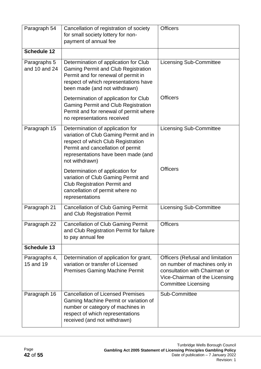| Paragraph 54                  | Cancellation of registration of society<br>for small society lottery for non-<br>payment of annual fee                                                                                                         | <b>Officers</b>                                                                                                                                                           |
|-------------------------------|----------------------------------------------------------------------------------------------------------------------------------------------------------------------------------------------------------------|---------------------------------------------------------------------------------------------------------------------------------------------------------------------------|
| <b>Schedule 12</b>            |                                                                                                                                                                                                                |                                                                                                                                                                           |
| Paragraphs 5<br>and 10 and 24 | Determination of application for Club<br><b>Gaming Permit and Club Registration</b><br>Permit and for renewal of permit in<br>respect of which representations have<br>been made (and not withdrawn)           | <b>Licensing Sub-Committee</b>                                                                                                                                            |
|                               | Determination of application for Club<br><b>Gaming Permit and Club Registration</b><br>Permit and for renewal of permit where<br>no representations received                                                   | <b>Officers</b>                                                                                                                                                           |
| Paragraph 15                  | Determination of application for<br>variation of Club Gaming Permit and in<br>respect of which Club Registration<br>Permit and cancellation of permit<br>representations have been made (and<br>not withdrawn) | <b>Licensing Sub-Committee</b>                                                                                                                                            |
|                               | Determination of application for<br>variation of Club Gaming Permit and<br><b>Club Registration Permit and</b><br>cancellation of permit where no<br>representations                                           | <b>Officers</b>                                                                                                                                                           |
| Paragraph 21                  | <b>Cancellation of Club Gaming Permit</b><br>and Club Registration Permit                                                                                                                                      | <b>Licensing Sub-Committee</b>                                                                                                                                            |
| Paragraph 22                  | <b>Cancellation of Club Gaming Permit</b><br>and Club Registration Permit for failure<br>to pay annual fee                                                                                                     | <b>Officers</b>                                                                                                                                                           |
| <b>Schedule 13</b>            |                                                                                                                                                                                                                |                                                                                                                                                                           |
| Paragraphs 4,<br>15 and 19    | Determination of application for grant,<br>variation or transfer of Licensed<br><b>Premises Gaming Machine Permit</b>                                                                                          | <b>Officers (Refusal and limitation</b><br>on number of machines only in<br>consultation with Chairman or<br>Vice-Chairman of the Licensing<br><b>Committee Licensing</b> |
| Paragraph 16                  | <b>Cancellation of Licensed Premises</b><br>Gaming Machine Permit or variation of<br>number or category of machines in<br>respect of which representations<br>received (and not withdrawn)                     | Sub-Committee                                                                                                                                                             |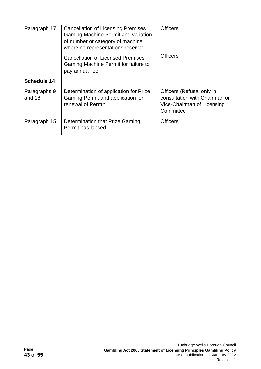| Paragraph 17           | <b>Cancellation of Licensing Premises</b><br>Gaming Machine Permit and variation<br>of number or category of machine<br>where no representations received | <b>Officers</b>                                                                                       |  |
|------------------------|-----------------------------------------------------------------------------------------------------------------------------------------------------------|-------------------------------------------------------------------------------------------------------|--|
|                        | <b>Cancellation of Licensed Premises</b><br>Gaming Machine Permit for failure to<br>pay annual fee                                                        | <b>Officers</b>                                                                                       |  |
| <b>Schedule 14</b>     |                                                                                                                                                           |                                                                                                       |  |
| Paragraphs 9<br>and 18 | Determination of application for Prize<br>Gaming Permit and application for<br>renewal of Permit                                                          | Officers (Refusal only in<br>consultation with Chairman or<br>Vice-Chairman of Licensing<br>Committee |  |
| Paragraph 15           | Determination that Prize Gaming<br>Permit has lapsed                                                                                                      | <b>Officers</b>                                                                                       |  |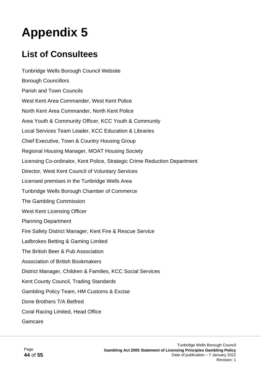# **List of Consultees**

Tunbridge Wells Borough Council Website Borough Councillors Parish and Town Councils West Kent Area Commander, West Kent Police North Kent Area Commander, North Kent Police Area Youth & Community Officer, KCC Youth & Community Local Services Team Leader, KCC Education & Libraries Chief Executive, Town & Country Housing Group Regional Housing Manager, MOAT Housing Society Licensing Co-ordinator, Kent Police, Strategic Crime Reduction Department Director, West Kent Council of Voluntary Services Licensed premises in the Tunbridge Wells Area Tunbridge Wells Borough Chamber of Commerce The Gambling Commission West Kent Licensing Officer Planning Department Fire Safety District Manager, Kent Fire & Rescue Service Ladbrokes Betting & Gaming Limited The British Beer & Pub Association Association of British Bookmakers District Manager, Children & Families, KCC Social Services Kent County Council, Trading Standards Gambling Policy Team, HM Customs & Excise Done Brothers T/A Betfred Coral Racing Limited, Head Office Gamcare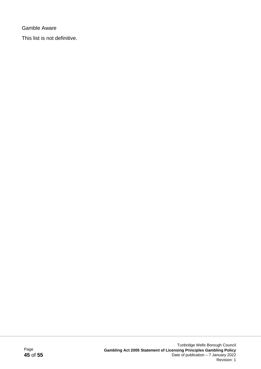Gamble Aware

This list is not definitive.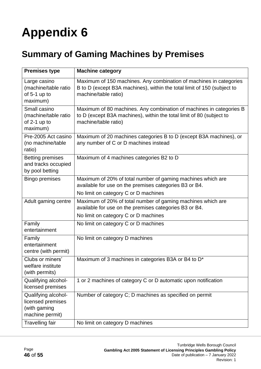# **Summary of Gaming Machines by Premises**

| <b>Premises type</b>                                                        | <b>Machine category</b>                                                                                                                                               |  |
|-----------------------------------------------------------------------------|-----------------------------------------------------------------------------------------------------------------------------------------------------------------------|--|
| Large casino<br>(machine/table ratio<br>of $5-1$ up to<br>maximum)          | Maximum of 150 machines. Any combination of machines in categories<br>B to D (except B3A machines), within the total limit of 150 (subject to<br>machine/table ratio) |  |
| Small casino<br>(machine/table ratio<br>of 2-1 up to<br>maximum)            | Maximum of 80 machines. Any combination of machines in categories B<br>to D (except B3A machines), within the total limit of 80 (subject to<br>machine/table ratio)   |  |
| Pre-2005 Act casino<br>(no machine/table<br>ratio)                          | Maximum of 20 machines categories B to D (except B3A machines), or<br>any number of C or D machines instead                                                           |  |
| <b>Betting premises</b><br>and tracks occupied<br>by pool betting           | Maximum of 4 machines categories B2 to D                                                                                                                              |  |
| <b>Bingo premises</b>                                                       | Maximum of 20% of total number of gaming machines which are<br>available for use on the premises categories B3 or B4.<br>No limit on category C or D machines         |  |
| Adult gaming centre                                                         | Maximum of 20% of total number of gaming machines which are<br>available for use on the premises categories B3 or B4.<br>No limit on category C or D machines         |  |
| Family<br>entertainment                                                     | No limit on category C or D machines                                                                                                                                  |  |
| Family<br>entertainment<br>centre (with permit)                             | No limit on category D machines                                                                                                                                       |  |
| Clubs or miners'<br>welfare institute<br>(with permits)                     | Maximum of 3 machines in categories B3A or B4 to D*                                                                                                                   |  |
| Qualifying alcohol-<br>licensed premises                                    | 1 or 2 machines of category C or D automatic upon notification                                                                                                        |  |
| Qualifying alcohol-<br>licensed premises<br>(with gaming<br>machine permit) | Number of category C; D machines as specified on permit                                                                                                               |  |
| <b>Travelling fair</b>                                                      | No limit on category D machines                                                                                                                                       |  |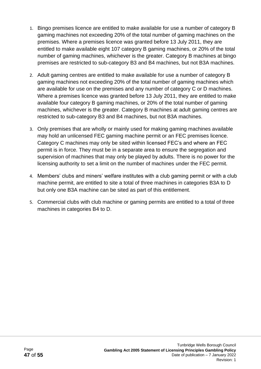- 1. Bingo premises licence are entitled to make available for use a number of category B gaming machines not exceeding 20% of the total number of gaming machines on the premises. Where a premises licence was granted before 13 July 2011, they are entitled to make available eight 107 category B gaming machines, or 20% of the total number of gaming machines, whichever is the greater. Category B machines at bingo premises are restricted to sub-category B3 and B4 machines, but not B3A machines.
- 2. Adult gaming centres are entitled to make available for use a number of category B gaming machines not exceeding 20% of the total number of gaming machines which are available for use on the premises and any number of category C or D machines. Where a premises licence was granted before 13 July 2011, they are entitled to make available four category B gaming machines, or 20% of the total number of gaming machines, whichever is the greater. Category B machines at adult gaming centres are restricted to sub-category B3 and B4 machines, but not B3A machines.
- 3. Only premises that are wholly or mainly used for making gaming machines available may hold an unlicensed FEC gaming machine permit or an FEC premises licence. Category C machines may only be sited within licensed FEC's and where an FEC permit is in force. They must be in a separate area to ensure the segregation and supervision of machines that may only be played by adults. There is no power for the licensing authority to set a limit on the number of machines under the FEC permit.
- 4. Members' clubs and miners' welfare institutes with a club gaming permit or with a club machine permit, are entitled to site a total of three machines in categories B3A to D but only one B3A machine can be sited as part of this entitlement.
- 5. Commercial clubs with club machine or gaming permits are entitled to a total of three machines in categories B4 to D.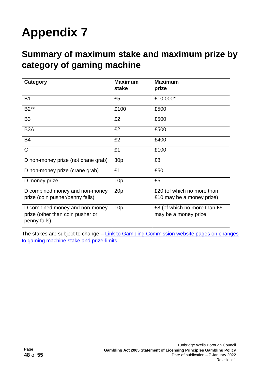# **Summary of maximum stake and maximum prize by category of gaming machine**

| Category                                                                           | <b>Maximum</b>  | <b>Maximum</b>                                       |
|------------------------------------------------------------------------------------|-----------------|------------------------------------------------------|
|                                                                                    | stake           | prize                                                |
| <b>B1</b>                                                                          | £5              | £10,000*                                             |
| B2**                                                                               | £100            | £500                                                 |
| B <sub>3</sub>                                                                     | £2              | £500                                                 |
| B <sub>3</sub> A                                                                   | £2              | £500                                                 |
| <b>B4</b>                                                                          | £2              | £400                                                 |
| $\mathsf{C}$                                                                       | £1              | £100                                                 |
| D non-money prize (not crane grab)                                                 | 30 <sub>p</sub> | £8                                                   |
| D non-money prize (crane grab)                                                     | £1              | £50                                                  |
| D money prize                                                                      | 10 <sub>p</sub> | £5                                                   |
| D combined money and non-money                                                     | 20p             | £20 (of which no more than                           |
| prize (coin pusher/penny falls)                                                    |                 | £10 may be a money prize)                            |
| D combined money and non-money<br>prize (other than coin pusher or<br>penny falls) | 10 <sub>p</sub> | £8 (of which no more than £5<br>may be a money prize |

The stakes are subject to change – Link to Gambling Commission website pages on changes [to gaming machine stake and prize-limits](https://www.gamblingcommission.gov.uk/news-action-and-statistics/news/2014/Changes-to-gaming-machine-stake-and-prize-limits.aspx)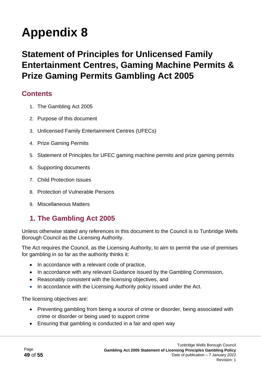# **Statement of Principles for Unlicensed Family Entertainment Centres, Gaming Machine Permits & Prize Gaming Permits Gambling Act 2005**

### **Contents**

- 1. The Gambling Act 2005
- 2. Purpose of this document
- 3. Unlicensed Family Entertainment Centres (UFECs)
- 4. Prize Gaming Permits
- 5. Statement of Principles for UFEC gaming machine permits and prize gaming permits
- 6. Supporting documents
- 7. Child Protection Issues
- 8. Protection of Vulnerable Persons
- 9. Miscellaneous Matters

## **1. The Gambling Act 2005**

Unless otherwise stated any references in this document to the Council is to Tunbridge Wells Borough Council as the Licensing Authority.

The Act requires the Council, as the Licensing Authority, to aim to permit the use of premises for gambling in so far as the authority thinks it:

- In accordance with a relevant code of practice,
- In accordance with any relevant Guidance issued by the Gambling Commission,
- Reasonably consistent with the licensing objectives, and
- In accordance with the Licensing Authority policy issued under the Act.

The licensing objectives are:

- Preventing gambling from being a source of crime or disorder, being associated with crime or disorder or being used to support crime
- Ensuring that gambling is conducted in a fair and open way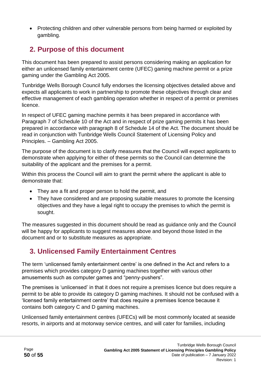• Protecting children and other vulnerable persons from being harmed or exploited by gambling.

## **2. Purpose of this document**

This document has been prepared to assist persons considering making an application for either an unlicensed family entertainment centre (UFEC) gaming machine permit or a prize gaming under the Gambling Act 2005.

Tunbridge Wells Borough Council fully endorses the licensing objectives detailed above and expects all applicants to work in partnership to promote these objectives through clear and effective management of each gambling operation whether in respect of a permit or premises licence.

In respect of UFEC gaming machine permits it has been prepared in accordance with Paragraph 7 of Schedule 10 of the Act and in respect of prize gaming permits it has been prepared in accordance with paragraph 8 of Schedule 14 of the Act. The document should be read in conjunction with Tunbridge Wells Council Statement of Licensing Policy and Principles. – Gambling Act 2005.

The purpose of the document is to clarify measures that the Council will expect applicants to demonstrate when applying for either of these permits so the Council can determine the suitability of the applicant and the premises for a permit.

Within this process the Council will aim to grant the permit where the applicant is able to demonstrate that:

- They are a fit and proper person to hold the permit, and
- They have considered and are proposing suitable measures to promote the licensing objectives and they have a legal right to occupy the premises to which the permit is sought.

The measures suggested in this document should be read as guidance only and the Council will be happy for applicants to suggest measures above and beyond those listed in the document and or to substitute measures as appropriate.

## **3. Unlicensed Family Entertainment Centres**

The term 'unlicensed family entertainment centre' is one defined in the Act and refers to a premises which provides category D gaming machines together with various other amusements such as computer games and "penny-pushers".

The premises is 'unlicensed' in that it does not require a premises licence but does require a permit to be able to provide its category D gaming machines. It should not be confused with a 'licensed family entertainment centre' that does require a premises licence because it contains both category C and D gaming machines.

Unlicensed family entertainment centres (UFECs) will be most commonly located at seaside resorts, in airports and at motorway service centres, and will cater for families, including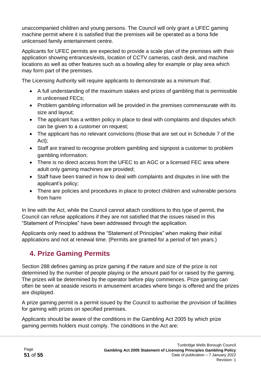unaccompanied children and young persons. The Council will only grant a UFEC gaming machine permit where it is satisfied that the premises will be operated as a bona fide unlicensed family entertainment centre.

Applicants for UFEC permits are expected to provide a scale plan of the premises with their application showing entrances/exits, location of CCTV cameras, cash desk, and machine locations as well as other features such as a bowling alley for example or play area which may form part of the premises.

The Licensing Authority will require applicants to demonstrate as a minimum that:

- A full understanding of the maximum stakes and prizes of gambling that is permissible in unlicensed FECs;
- Problem gambling information will be provided in the premises commensurate with its size and layout;
- The applicant has a written policy in place to deal with complaints and disputes which can be given to a customer on request;
- The applicant has no relevant convictions (those that are set out in Schedule 7 of the Act);
- Staff are trained to recognise problem gambling and signpost a customer to problem gambling information;
- There is no direct access from the UFEC to an AGC or a licensed FEC area where adult only gaming machines are provided;
- Staff have been trained in how to deal with complaints and disputes in line with the applicant's policy;
- There are policies and procedures in place to protect children and vulnerable persons from harm

In line with the Act, while the Council cannot attach conditions to this type of permit, the Council can refuse applications if they are not satisfied that the issues raised in this "Statement of Principles" have been addressed through the application.

Applicants only need to address the "Statement of Principles" when making their initial applications and not at renewal time. (Permits are granted for a period of ten years.)

# **4. Prize Gaming Permits**

Section 288 defines gaming as prize gaming if the nature and size of the prize is not determined by the number of people playing or the amount paid for or raised by the gaming. The prizes will be determined by the operator before play commences. Prize gaming can often be seen at seaside resorts in amusement arcades where bingo is offered and the prizes are displayed.

A prize gaming permit is a permit issued by the Council to authorise the provision of facilities for gaming with prizes on specified premises.

Applicants should be aware of the conditions in the Gambling Act 2005 by which prize gaming permits holders must comply. The conditions in the Act are: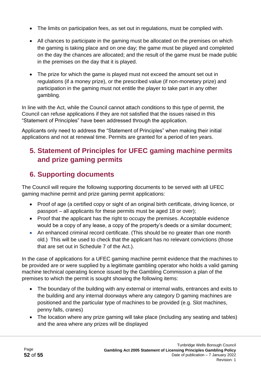- The limits on participation fees, as set out in regulations, must be complied with.
- All chances to participate in the gaming must be allocated on the premises on which the gaming is taking place and on one day; the game must be played and completed on the day the chances are allocated; and the result of the game must be made public in the premises on the day that it is played.
- The prize for which the game is played must not exceed the amount set out in regulations (if a money prize), or the prescribed value (if non-monetary prize) and participation in the gaming must not entitle the player to take part in any other gambling.

In line with the Act, while the Council cannot attach conditions to this type of permit, the Council can refuse applications if they are not satisfied that the issues raised in this "Statement of Principles" have been addressed through the application.

Applicants only need to address the "Statement of Principles" when making their initial applications and not at renewal time. Permits are granted for a period of ten years.

## **5. Statement of Principles for UFEC gaming machine permits and prize gaming permits**

# **6. Supporting documents**

The Council will require the following supporting documents to be served with all UFEC gaming machine permit and prize gaming permit applications:

- Proof of age (a certified copy or sight of an original birth certificate, driving licence, or passport – all applicants for these permits must be aged 18 or over);
- Proof that the applicant has the right to occupy the premises. Acceptable evidence would be a copy of any lease, a copy of the property's deeds or a similar document;
- An enhanced criminal record certificate. (This should be no greater than one month old.) This will be used to check that the applicant has no relevant convictions (those that are set out in Schedule 7 of the Act.).

In the case of applications for a UFEC gaming machine permit evidence that the machines to be provided are or were supplied by a legitimate gambling operator who holds a valid gaming machine technical operating licence issued by the Gambling Commission a plan of the premises to which the permit is sought showing the following items:

- The boundary of the building with any external or internal walls, entrances and exits to the building and any internal doorways where any category D gaming machines are positioned and the particular type of machines to be provided (e.g. Slot machines, penny falls, cranes)
- The location where any prize gaming will take place (including any seating and tables) and the area where any prizes will be displayed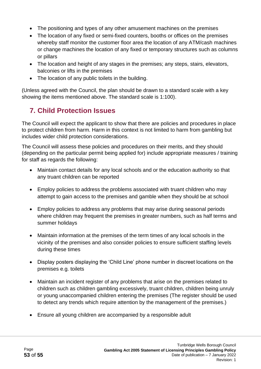- The positioning and types of any other amusement machines on the premises
- The location of any fixed or semi-fixed counters, booths or offices on the premises whereby staff monitor the customer floor area the location of any ATM/cash machines or change machines the location of any fixed or temporary structures such as columns or pillars
- The location and height of any stages in the premises; any steps, stairs, elevators, balconies or lifts in the premises
- The location of any public toilets in the building.

(Unless agreed with the Council, the plan should be drawn to a standard scale with a key showing the items mentioned above. The standard scale is 1:100).

## **7. Child Protection Issues**

The Council will expect the applicant to show that there are policies and procedures in place to protect children from harm. Harm in this context is not limited to harm from gambling but includes wider child protection considerations.

The Council will assess these policies and procedures on their merits, and they should (depending on the particular permit being applied for) include appropriate measures / training for staff as regards the following:

- Maintain contact details for any local schools and or the education authority so that any truant children can be reported
- Employ policies to address the problems associated with truant children who may attempt to gain access to the premises and gamble when they should be at school
- Employ policies to address any problems that may arise during seasonal periods where children may frequent the premises in greater numbers, such as half terms and summer holidays
- Maintain information at the premises of the term times of any local schools in the vicinity of the premises and also consider policies to ensure sufficient staffing levels during these times
- Display posters displaying the 'Child Line' phone number in discreet locations on the premises e.g. toilets
- Maintain an incident register of any problems that arise on the premises related to children such as children gambling excessively, truant children, children being unruly or young unaccompanied children entering the premises (The register should be used to detect any trends which require attention by the management of the premises.)
- Ensure all young children are accompanied by a responsible adult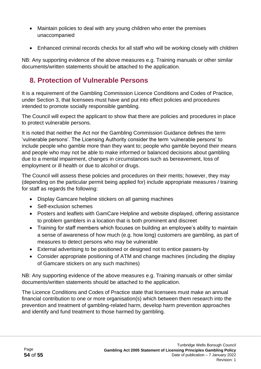- Maintain policies to deal with any young children who enter the premises unaccompanied
- Enhanced criminal records checks for all staff who will be working closely with children

NB: Any supporting evidence of the above measures e.g. Training manuals or other similar documents/written statements should be attached to the application.

## **8. Protection of Vulnerable Persons**

It is a requirement of the Gambling Commission Licence Conditions and Codes of Practice, under Section 3, that licensees must have and put into effect policies and procedures intended to promote socially responsible gambling.

The Council will expect the applicant to show that there are policies and procedures in place to protect vulnerable persons.

It is noted that neither the Act nor the Gambling Commission Guidance defines the term 'vulnerable persons'. The Licensing Authority consider the term 'vulnerable persons' to include people who gamble more than they want to; people who gamble beyond their means and people who may not be able to make informed or balanced decisions about gambling due to a mental impairment, changes in circumstances such as bereavement, loss of employment or ill health or due to alcohol or drugs.

The Council will assess these policies and procedures on their merits; however, they may (depending on the particular permit being applied for) include appropriate measures / training for staff as regards the following:

- Display Gamcare helpline stickers on all gaming machines
- Self-exclusion schemes
- Posters and leaflets with GamCare Helpline and website displayed, offering assistance to problem gamblers in a location that is both prominent and discreet
- Training for staff members which focuses on building an employee's ability to maintain a sense of awareness of how much (e.g. how long) customers are gambling, as part of measures to detect persons who may be vulnerable
- External advertising to be positioned or designed not to entice passers-by
- Consider appropriate positioning of ATM and change machines (including the display of Gamcare stickers on any such machines)

NB: Any supporting evidence of the above measures e.g. Training manuals or other similar documents/written statements should be attached to the application.

The Licence Conditions and Codes of Practice state that licensees must make an annual financial contribution to one or more organisation(s) which between them research into the prevention and treatment of gambling-related harm, develop harm prevention approaches and identify and fund treatment to those harmed by gambling.